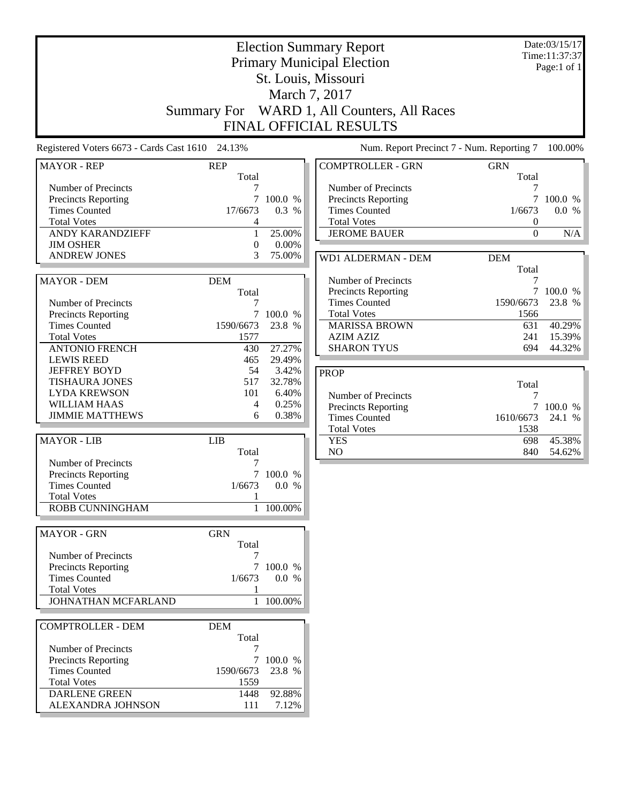|                                                                                                                                                                          | Summary For                                                     |                                                      | <b>Election Summary Report</b><br><b>Primary Municipal Election</b><br>St. Louis, Missouri<br>March 7, 2017<br>WARD 1, All Counters, All Races<br>FINAL OFFICIAL RESULTS |                                                     | Date:03/15/17<br>Time:11:37:37<br>Page:1 of 1 |
|--------------------------------------------------------------------------------------------------------------------------------------------------------------------------|-----------------------------------------------------------------|------------------------------------------------------|--------------------------------------------------------------------------------------------------------------------------------------------------------------------------|-----------------------------------------------------|-----------------------------------------------|
| Registered Voters 6673 - Cards Cast 1610 24.13%                                                                                                                          |                                                                 |                                                      | Num. Report Precinct 7 - Num. Reporting 7                                                                                                                                |                                                     | 100.00%                                       |
| <b>MAYOR - REP</b>                                                                                                                                                       | <b>REP</b>                                                      |                                                      | <b>COMPTROLLER - GRN</b>                                                                                                                                                 | <b>GRN</b>                                          |                                               |
| Number of Precincts<br><b>Precincts Reporting</b><br><b>Times Counted</b><br><b>Total Votes</b><br><b>ANDY KARANDZIEFF</b><br><b>JIM OSHER</b>                           | Total<br>7<br>7<br>17/6673<br>4<br>$\mathbf{1}$<br>$\mathbf{0}$ | 100.0 %<br>0.3 %<br>25.00%<br>0.00%                  | Number of Precincts<br><b>Precincts Reporting</b><br><b>Times Counted</b><br><b>Total Votes</b><br><b>JEROME BAUER</b>                                                   | Total<br>7<br>$\tau$<br>1/6673<br>0<br>$\mathbf{0}$ | 100.0 %<br>0.0 %<br>N/A                       |
| <b>ANDREW JONES</b>                                                                                                                                                      | 3                                                               | 75.00%                                               | WD1 ALDERMAN - DEM                                                                                                                                                       | <b>DEM</b><br>Total                                 |                                               |
| <b>MAYOR - DEM</b><br>Number of Precincts<br><b>Precincts Reporting</b>                                                                                                  | <b>DEM</b><br>Total<br>7<br>7                                   | 100.0 %                                              | Number of Precincts<br><b>Precincts Reporting</b><br><b>Times Counted</b><br><b>Total Votes</b>                                                                          | 7<br>1590/6673<br>1566                              | 7 100.0 %<br>23.8 %                           |
| <b>Times Counted</b><br><b>Total Votes</b><br><b>ANTONIO FRENCH</b>                                                                                                      | 1590/6673<br>1577<br>430                                        | 23.8 %<br>27.27%                                     | <b>MARISSA BROWN</b><br><b>AZIM AZIZ</b><br><b>SHARON TYUS</b>                                                                                                           | 631<br>241<br>694                                   | 40.29%<br>15.39%<br>44.32%                    |
| <b>LEWIS REED</b><br><b>JEFFREY BOYD</b><br><b>TISHAURA JONES</b><br><b>LYDA KREWSON</b><br><b>WILLIAM HAAS</b><br><b>JIMMIE MATTHEWS</b>                                | 465<br>54<br>517<br>101<br>4<br>6                               | 29.49%<br>3.42%<br>32.78%<br>6.40%<br>0.25%<br>0.38% | <b>PROP</b><br>Number of Precincts<br>Precincts Reporting<br><b>Times Counted</b><br><b>Total Votes</b>                                                                  | Total<br>7<br>$\tau$<br>1610/6673<br>1538           | 100.0 %<br>24.1 %                             |
| <b>MAYOR - LIB</b>                                                                                                                                                       | <b>LIB</b><br>Total                                             |                                                      | <b>YES</b><br>NO                                                                                                                                                         | 698<br>840                                          | 45.38%<br>54.62%                              |
| Number of Precincts<br><b>Precincts Reporting</b><br><b>Times Counted</b><br><b>Total Votes</b><br>ROBB CUNNINGHAM                                                       | 7<br>7<br>1/6673<br>1                                           | 100.0 %<br>0.0 %<br>1 100.00%                        |                                                                                                                                                                          |                                                     |                                               |
|                                                                                                                                                                          |                                                                 |                                                      |                                                                                                                                                                          |                                                     |                                               |
| <b>MAYOR - GRN</b><br>Number of Precincts<br><b>Precincts Reporting</b><br><b>Times Counted</b><br><b>Total Votes</b><br>JOHNATHAN MCFARLAND                             | <b>GRN</b><br>Total<br>7<br>1/6673<br>1                         | 100.0 %<br>0.0 %<br>1 100.00%                        |                                                                                                                                                                          |                                                     |                                               |
| <b>COMPTROLLER - DEM</b><br>Number of Precincts<br><b>Precincts Reporting</b><br><b>Times Counted</b><br><b>Total Votes</b><br><b>DARLENE GREEN</b><br>ALEXANDRA JOHNSON | <b>DEM</b><br>Total<br>7<br>1590/6673<br>1559<br>1448<br>111    | 7 100.0 %<br>23.8 %<br>92.88%<br>7.12%               |                                                                                                                                                                          |                                                     |                                               |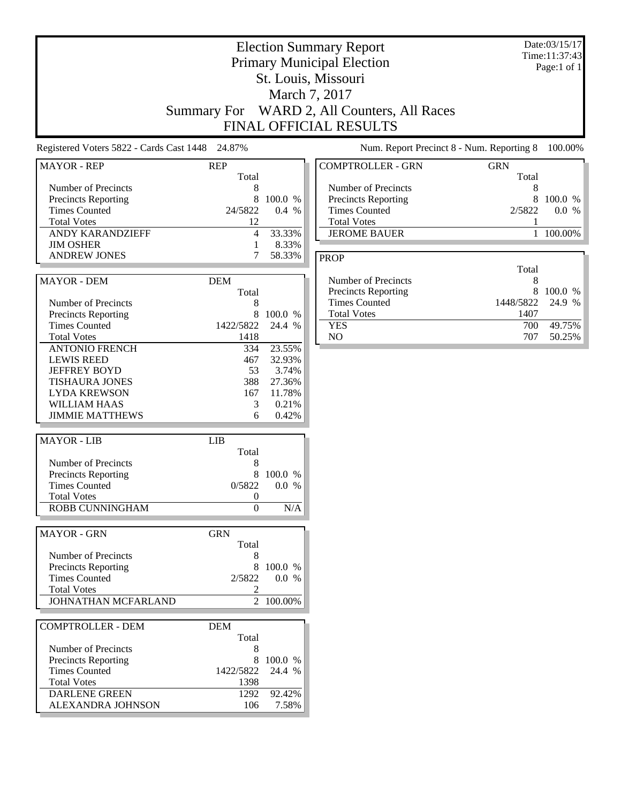|                                                                                                                                                             |                                                           |                                                                 | <b>Election Summary Report</b><br><b>Primary Municipal Election</b><br>St. Louis, Missouri<br>March 7, 2017<br>Summary For WARD 2, All Counters, All Races<br>FINAL OFFICIAL RESULTS |                                | Date:03/15/17<br>Time:11:37:43<br>Page:1 of 1 |
|-------------------------------------------------------------------------------------------------------------------------------------------------------------|-----------------------------------------------------------|-----------------------------------------------------------------|--------------------------------------------------------------------------------------------------------------------------------------------------------------------------------------|--------------------------------|-----------------------------------------------|
| Registered Voters 5822 - Cards Cast 1448 24.87%                                                                                                             |                                                           |                                                                 | Num. Report Precinct 8 - Num. Reporting 8                                                                                                                                            |                                | 100.00%                                       |
| <b>MAYOR - REP</b>                                                                                                                                          | <b>REP</b>                                                |                                                                 | <b>COMPTROLLER - GRN</b>                                                                                                                                                             | <b>GRN</b>                     |                                               |
| Number of Precincts<br>Precincts Reporting<br><b>Times Counted</b><br><b>Total Votes</b><br><b>ANDY KARANDZIEFF</b><br><b>JIM OSHER</b>                     | Total<br>8<br>8<br>24/5822<br>12<br>$\overline{4}$<br>1   | 100.0 %<br>0.4%<br>33.33%<br>8.33%                              | Number of Precincts<br>Precincts Reporting<br><b>Times Counted</b><br><b>Total Votes</b><br><b>JEROME BAUER</b>                                                                      | Total<br>8<br>8<br>2/5822<br>1 | 100.0 %<br>0.0 %<br>1 100.00%                 |
| <b>ANDREW JONES</b>                                                                                                                                         | 7                                                         | 58.33%                                                          | <b>PROP</b>                                                                                                                                                                          |                                |                                               |
| <b>MAYOR - DEM</b><br>Number of Precincts                                                                                                                   | <b>DEM</b><br>Total<br>8                                  |                                                                 | Number of Precincts<br>Precincts Reporting<br><b>Times Counted</b>                                                                                                                   | Total<br>8<br>8<br>1448/5822   | 100.0 %<br>24.9 %                             |
| <b>Precincts Reporting</b><br><b>Times Counted</b><br><b>Total Votes</b>                                                                                    | 8<br>1422/5822<br>1418                                    | 100.0 %<br>24.4 %                                               | <b>Total Votes</b><br><b>YES</b><br>NO                                                                                                                                               | 1407<br>700<br>707             | 49.75%<br>50.25%                              |
| <b>ANTONIO FRENCH</b><br><b>LEWIS REED</b><br><b>JEFFREY BOYD</b><br><b>TISHAURA JONES</b><br><b>LYDA KREWSON</b><br>WILLIAM HAAS<br><b>JIMMIE MATTHEWS</b> | 334<br>467<br>53<br>388<br>167<br>3<br>6                  | 23.55%<br>32.93%<br>3.74%<br>27.36%<br>11.78%<br>0.21%<br>0.42% |                                                                                                                                                                                      |                                |                                               |
| <b>MAYOR - LIB</b>                                                                                                                                          | <b>LIB</b>                                                |                                                                 |                                                                                                                                                                                      |                                |                                               |
| Number of Precincts<br><b>Precincts Reporting</b><br><b>Times Counted</b><br><b>Total Votes</b><br>ROBB CUNNINGHAM                                          | Total<br>8<br>8<br>0/5822<br>$\boldsymbol{0}$<br>$\Omega$ | 100.0 %<br>0.0 %<br>N/A                                         |                                                                                                                                                                                      |                                |                                               |
| <b>MAYOR - GRN</b>                                                                                                                                          | <b>GRN</b>                                                |                                                                 |                                                                                                                                                                                      |                                |                                               |
| Number of Precincts<br>Precincts Reporting<br><b>Times Counted</b><br><b>Total Votes</b><br>JOHNATHAN MCFARLAND                                             | Total<br>8<br>2/5822<br>2                                 | 100.0 %<br>0.0 %<br>2 100.00%                                   |                                                                                                                                                                                      |                                |                                               |
| <b>COMPTROLLER - DEM</b>                                                                                                                                    | <b>DEM</b>                                                |                                                                 |                                                                                                                                                                                      |                                |                                               |
| Number of Precincts<br>Precincts Reporting<br><b>Times Counted</b><br><b>Total Votes</b>                                                                    | Total<br>8<br>8<br>1422/5822<br>1398                      | 100.0 %<br>24.4 %                                               |                                                                                                                                                                                      |                                |                                               |
| <b>DARLENE GREEN</b><br>ALEXANDRA JOHNSON                                                                                                                   | 1292<br>106                                               | 92.42%<br>7.58%                                                 |                                                                                                                                                                                      |                                |                                               |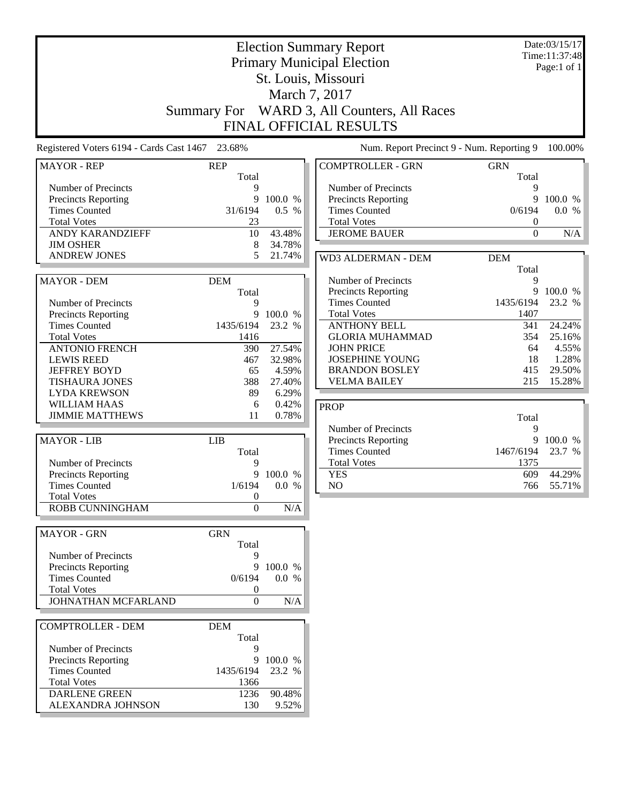|                                                   |                     | Date:03/15/17<br>Time:11:37:48<br>Page:1 of 1 |                                                                            |                   |                 |
|---------------------------------------------------|---------------------|-----------------------------------------------|----------------------------------------------------------------------------|-------------------|-----------------|
| Registered Voters 6194 - Cards Cast 1467          | 23.68%              |                                               | <b>FINAL OFFICIAL RESULTS</b><br>Num. Report Precinct 9 - Num. Reporting 9 |                   | 100.00%         |
| <b>MAYOR - REP</b>                                | <b>REP</b>          |                                               | <b>COMPTROLLER - GRN</b>                                                   | <b>GRN</b>        |                 |
|                                                   | Total               |                                               |                                                                            | Total             |                 |
| Number of Precincts<br><b>Precincts Reporting</b> | 9<br>9              | 100.0 %                                       | Number of Precincts<br><b>Precincts Reporting</b>                          | 9<br>9            | 100.0 %         |
| <b>Times Counted</b>                              | 31/6194             | 0.5 %                                         | <b>Times Counted</b>                                                       | 0/6194            | 0.0 %           |
| <b>Total Votes</b>                                | 23                  |                                               | <b>Total Votes</b>                                                         | $\boldsymbol{0}$  |                 |
| ANDY KARANDZIEFF                                  | 10                  | 43.48%                                        | <b>JEROME BAUER</b>                                                        | $\overline{0}$    | N/A             |
| <b>JIM OSHER</b>                                  | 8                   | 34.78%                                        |                                                                            |                   |                 |
| <b>ANDREW JONES</b>                               | 5                   | 21.74%                                        | WD3 ALDERMAN - DEM                                                         | <b>DEM</b>        |                 |
|                                                   |                     |                                               |                                                                            | Total<br>9        |                 |
| <b>MAYOR - DEM</b>                                | <b>DEM</b><br>Total |                                               | Number of Precincts<br><b>Precincts Reporting</b>                          | 9                 | 100.0 %         |
| Number of Precincts                               | 9                   |                                               | <b>Times Counted</b>                                                       | 1435/6194         | 23.2 %          |
| Precincts Reporting                               | 9                   | 100.0 %                                       | <b>Total Votes</b>                                                         | 1407              |                 |
| <b>Times Counted</b>                              | 1435/6194           | 23.2 %                                        | <b>ANTHONY BELL</b>                                                        | 341               | 24.24%          |
| <b>Total Votes</b>                                | 1416                |                                               | <b>GLORIA MUHAMMAD</b>                                                     | 354               | 25.16%          |
| <b>ANTONIO FRENCH</b>                             | 390                 | 27.54%                                        | <b>JOHN PRICE</b>                                                          | 64                | 4.55%           |
| <b>LEWIS REED</b><br><b>JEFFREY BOYD</b>          | 467<br>65           | 32.98%<br>4.59%                               | <b>JOSEPHINE YOUNG</b><br><b>BRANDON BOSLEY</b>                            | 18<br>415         | 1.28%<br>29.50% |
| <b>TISHAURA JONES</b>                             | 388                 | 27.40%                                        | <b>VELMA BAILEY</b>                                                        | 215               | 15.28%          |
| <b>LYDA KREWSON</b>                               | 89                  | 6.29%                                         |                                                                            |                   |                 |
| <b>WILLIAM HAAS</b>                               | 6                   | 0.42%                                         | <b>PROP</b>                                                                |                   |                 |
| <b>JIMMIE MATTHEWS</b>                            | 11                  | 0.78%                                         |                                                                            | Total             |                 |
|                                                   |                     |                                               | Number of Precincts                                                        | 9                 |                 |
| <b>MAYOR - LIB</b>                                | <b>LIB</b>          |                                               | <b>Precincts Reporting</b>                                                 | 9                 | 100.0 %         |
| Number of Precincts                               | Total<br>9          |                                               | <b>Times Counted</b><br><b>Total Votes</b>                                 | 1467/6194<br>1375 | 23.7 %          |
| <b>Precincts Reporting</b>                        | 9                   | 100.0 %                                       | <b>YES</b>                                                                 | 609               | 44.29%          |
| <b>Times Counted</b>                              | 1/6194              | 0.0 %                                         | $\rm NO$                                                                   | 766               | 55.71%          |
| <b>Total Votes</b>                                | $\boldsymbol{0}$    |                                               |                                                                            |                   |                 |
| ROBB CUNNINGHAM                                   | $\overline{0}$      | N/A                                           |                                                                            |                   |                 |
| <b>MAYOR - GRN</b>                                | <b>GRN</b>          |                                               |                                                                            |                   |                 |
|                                                   | Total               |                                               |                                                                            |                   |                 |
| Number of Precincts<br>Precincts Reporting        | 9<br>9              | 100.0 %                                       |                                                                            |                   |                 |
| <b>Times Counted</b>                              | 0/6194              | 0.0 %                                         |                                                                            |                   |                 |
| <b>Total Votes</b>                                | 0                   |                                               |                                                                            |                   |                 |
| JOHNATHAN MCFARLAND                               | $\boldsymbol{0}$    | N/A                                           |                                                                            |                   |                 |
| <b>COMPTROLLER - DEM</b>                          | <b>DEM</b>          |                                               |                                                                            |                   |                 |
|                                                   | Total               |                                               |                                                                            |                   |                 |
| Number of Precincts                               | 9                   |                                               |                                                                            |                   |                 |
| Precincts Reporting                               |                     | 9 100.0 %                                     |                                                                            |                   |                 |
| <b>Times Counted</b>                              | 1435/6194           | 23.2 %                                        |                                                                            |                   |                 |
| <b>Total Votes</b><br><b>DARLENE GREEN</b>        | 1366<br>1236        | 90.48%                                        |                                                                            |                   |                 |
| ALEXANDRA JOHNSON                                 | 130                 | 9.52%                                         |                                                                            |                   |                 |
|                                                   |                     |                                               |                                                                            |                   |                 |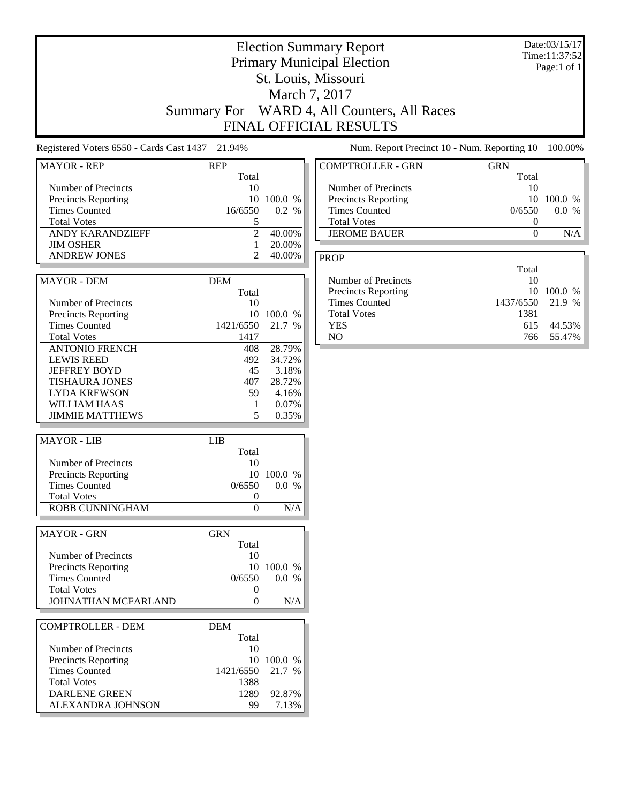|                                                                                                                                                             | Summary For                                               |                                                                | <b>Election Summary Report</b><br><b>Primary Municipal Election</b><br>St. Louis, Missouri<br>March 7, 2017<br>WARD 4, All Counters, All Races<br>FINAL OFFICIAL RESULTS |                                                                 | Date:03/15/17<br>Time:11:37:52<br>Page:1 of 1 |
|-------------------------------------------------------------------------------------------------------------------------------------------------------------|-----------------------------------------------------------|----------------------------------------------------------------|--------------------------------------------------------------------------------------------------------------------------------------------------------------------------|-----------------------------------------------------------------|-----------------------------------------------|
| Registered Voters 6550 - Cards Cast 1437 21.94%                                                                                                             |                                                           |                                                                | Num. Report Precinct 10 - Num. Reporting 10                                                                                                                              |                                                                 | 100.00%                                       |
| <b>MAYOR - REP</b>                                                                                                                                          | <b>REP</b>                                                |                                                                | <b>COMPTROLLER - GRN</b>                                                                                                                                                 | <b>GRN</b>                                                      |                                               |
| Number of Precincts<br>Precincts Reporting<br><b>Times Counted</b><br><b>Total Votes</b><br>ANDY KARANDZIEFF                                                | Total<br>10<br>10<br>16/6550<br>5<br>$\overline{2}$       | 100.0 %<br>0.2 %<br>40.00%                                     | Number of Precincts<br>Precincts Reporting<br><b>Times Counted</b><br><b>Total Votes</b><br><b>JEROME BAUER</b>                                                          | Total<br>10<br>10<br>0/6550<br>$\boldsymbol{0}$<br>$\mathbf{0}$ | 100.0 %<br>0.0 %<br>N/A                       |
| <b>JIM OSHER</b><br><b>ANDREW JONES</b>                                                                                                                     | $\mathbf{1}$<br>2                                         | 20.00%<br>40.00%                                               | <b>PROP</b>                                                                                                                                                              |                                                                 |                                               |
| MAYOR - DEM<br>Number of Precincts<br><b>Precincts Reporting</b>                                                                                            | <b>DEM</b><br>Total<br>10                                 | 10 100.0 %                                                     | Number of Precincts<br>Precincts Reporting<br><b>Times Counted</b><br><b>Total Votes</b>                                                                                 | Total<br>10<br>10<br>1437/6550<br>1381                          | 100.0 %<br>21.9 %                             |
| <b>Times Counted</b><br><b>Total Votes</b>                                                                                                                  | 1421/6550<br>1417                                         | 21.7 %                                                         | <b>YES</b><br>NO                                                                                                                                                         | 615<br>766                                                      | 44.53%<br>55.47%                              |
| <b>ANTONIO FRENCH</b><br><b>LEWIS REED</b><br><b>JEFFREY BOYD</b><br><b>TISHAURA JONES</b><br><b>LYDA KREWSON</b><br>WILLIAM HAAS<br><b>JIMMIE MATTHEWS</b> | 408<br>492<br>45<br>407<br>59<br>1<br>5                   | 28.79%<br>34.72%<br>3.18%<br>28.72%<br>4.16%<br>0.07%<br>0.35% |                                                                                                                                                                          |                                                                 |                                               |
| <b>MAYOR - LIB</b>                                                                                                                                          | <b>LIB</b>                                                |                                                                |                                                                                                                                                                          |                                                                 |                                               |
| Number of Precincts<br>Precincts Reporting<br><b>Times Counted</b><br><b>Total Votes</b><br><b>ROBB CUNNINGHAM</b>                                          | Total<br>10<br>$\theta$<br>$\mathbf{0}$                   | 10 100.0 %<br>$0/6550$ 0.0 %<br>N/A                            |                                                                                                                                                                          |                                                                 |                                               |
| <b>MAYOR - GRN</b>                                                                                                                                          | <b>GRN</b>                                                |                                                                |                                                                                                                                                                          |                                                                 |                                               |
| Number of Precincts<br><b>Precincts Reporting</b><br><b>Times Counted</b><br><b>Total Votes</b><br>JOHNATHAN MCFARLAND                                      | Total<br>10<br>0/6550<br>$\boldsymbol{0}$<br>$\mathbf{0}$ | 10 100.0 %<br>0.0 %<br>$\rm N/A$                               |                                                                                                                                                                          |                                                                 |                                               |
| <b>COMPTROLLER - DEM</b>                                                                                                                                    | <b>DEM</b>                                                |                                                                |                                                                                                                                                                          |                                                                 |                                               |
| Number of Precincts<br>Precincts Reporting<br><b>Times Counted</b><br><b>Total Votes</b><br><b>DARLENE GREEN</b><br>ALEXANDRA JOHNSON                       | Total<br>10<br>1421/6550<br>1388<br>1289<br>99            | 10 100.0 %<br>21.7 %<br>92.87%<br>7.13%                        |                                                                                                                                                                          |                                                                 |                                               |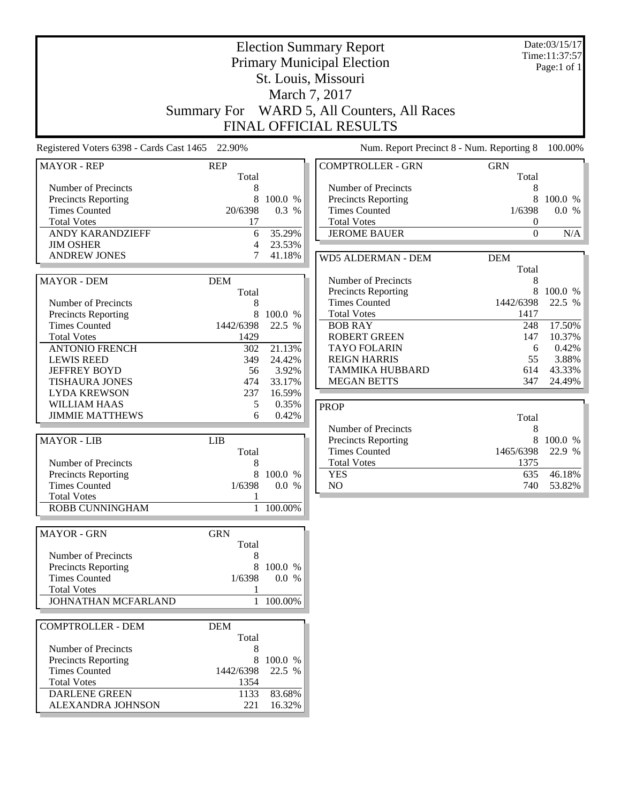|                                                   |                     | Date:03/15/17<br>Time:11:37:57<br>Page:1 of 1 |                                                                  |                                    |                   |
|---------------------------------------------------|---------------------|-----------------------------------------------|------------------------------------------------------------------|------------------------------------|-------------------|
|                                                   | Summary For         |                                               | WARD 5, All Counters, All Races<br><b>FINAL OFFICIAL RESULTS</b> |                                    |                   |
| Registered Voters 6398 - Cards Cast 1465 22.90%   |                     |                                               | Num. Report Precinct 8 - Num. Reporting 8                        |                                    | 100.00%           |
| <b>MAYOR - REP</b>                                | <b>REP</b><br>Total |                                               | <b>COMPTROLLER - GRN</b>                                         | <b>GRN</b><br>Total                |                   |
| Number of Precincts                               | 8                   |                                               | Number of Precincts                                              | 8                                  |                   |
| <b>Precincts Reporting</b>                        | 8                   | 100.0 %                                       | <b>Precincts Reporting</b>                                       | 8                                  | 100.0 %           |
| <b>Times Counted</b><br><b>Total Votes</b>        | 20/6398<br>17       | 0.3 %                                         | <b>Times Counted</b><br><b>Total Votes</b>                       | 1/6398                             | 0.0 %             |
| ANDY KARANDZIEFF                                  | 6                   | 35.29%                                        | <b>JEROME BAUER</b>                                              | $\boldsymbol{0}$<br>$\overline{0}$ | N/A               |
| <b>JIM OSHER</b>                                  | 4                   | 23.53%                                        |                                                                  |                                    |                   |
| <b>ANDREW JONES</b>                               | 7                   | 41.18%                                        | <b>WD5 ALDERMAN - DEM</b>                                        | <b>DEM</b>                         |                   |
|                                                   |                     |                                               |                                                                  | Total                              |                   |
| <b>MAYOR - DEM</b>                                | <b>DEM</b>          |                                               | Number of Precincts                                              | 8                                  |                   |
|                                                   | Total               |                                               | <b>Precincts Reporting</b><br><b>Times Counted</b>               | 8<br>1442/6398                     | 100.0 %<br>22.5 % |
| Number of Precincts<br>Precincts Reporting        | 8<br>8              | 100.0 %                                       | <b>Total Votes</b>                                               | 1417                               |                   |
| <b>Times Counted</b>                              | 1442/6398           | 22.5 %                                        | <b>BOB RAY</b>                                                   | 248                                | 17.50%            |
| <b>Total Votes</b>                                | 1429                |                                               | <b>ROBERT GREEN</b>                                              | 147                                | 10.37%            |
| <b>ANTONIO FRENCH</b>                             | 302                 | 21.13%                                        | <b>TAYO FOLARIN</b>                                              | 6                                  | 0.42%             |
| <b>LEWIS REED</b>                                 | 349                 | 24.42%                                        | <b>REIGN HARRIS</b>                                              | 55                                 | 3.88%             |
| <b>JEFFREY BOYD</b><br><b>TISHAURA JONES</b>      | 56<br>474           | 3.92%<br>33.17%                               | <b>TAMMIKA HUBBARD</b><br><b>MEGAN BETTS</b>                     | 614<br>347                         | 43.33%<br>24.49%  |
| <b>LYDA KREWSON</b>                               | 237                 | 16.59%                                        |                                                                  |                                    |                   |
| <b>WILLIAM HAAS</b>                               | 5                   | 0.35%                                         | <b>PROP</b>                                                      |                                    |                   |
| <b>JIMMIE MATTHEWS</b>                            | 6                   | 0.42%                                         |                                                                  | Total                              |                   |
|                                                   |                     |                                               | Number of Precincts                                              | 8                                  |                   |
| <b>MAYOR - LIB</b>                                | <b>LIB</b>          |                                               | Precincts Reporting                                              | 8                                  | 100.0 %           |
|                                                   | Total               |                                               | <b>Times Counted</b><br><b>Total Votes</b>                       | 1465/6398<br>1375                  | 22.9 %            |
| Number of Precincts<br><b>Precincts Reporting</b> | 8<br>8              | 100.0 %                                       | <b>YES</b>                                                       | 635                                | 46.18%            |
| <b>Times Counted</b>                              | 1/6398              | 0.0 %                                         | $\rm NO$                                                         | 740                                | 53.82%            |
| <b>Total Votes</b>                                | 1                   |                                               |                                                                  |                                    |                   |
| ROBB CUNNINGHAM                                   |                     | 1 100.00%                                     |                                                                  |                                    |                   |
| <b>MAYOR - GRN</b>                                | <b>GRN</b>          |                                               |                                                                  |                                    |                   |
|                                                   | Total               |                                               |                                                                  |                                    |                   |
| Number of Precincts                               | 8                   |                                               |                                                                  |                                    |                   |
| Precincts Reporting<br><b>Times Counted</b>       | 8<br>1/6398         | 100.0 %<br>0.0 %                              |                                                                  |                                    |                   |
| <b>Total Votes</b>                                | 1                   |                                               |                                                                  |                                    |                   |
| JOHNATHAN MCFARLAND                               |                     | 1 100.00%                                     |                                                                  |                                    |                   |
| <b>COMPTROLLER - DEM</b>                          |                     |                                               |                                                                  |                                    |                   |
|                                                   | <b>DEM</b><br>Total |                                               |                                                                  |                                    |                   |
| Number of Precincts                               | 8                   |                                               |                                                                  |                                    |                   |
| Precincts Reporting                               |                     | 8 100.0 %                                     |                                                                  |                                    |                   |
| <b>Times Counted</b>                              | 1442/6398           | 22.5 %                                        |                                                                  |                                    |                   |
| <b>Total Votes</b>                                | 1354                |                                               |                                                                  |                                    |                   |
| <b>DARLENE GREEN</b><br>ALEXANDRA JOHNSON         | 1133<br>221         | 83.68%<br>16.32%                              |                                                                  |                                    |                   |
|                                                   |                     |                                               |                                                                  |                                    |                   |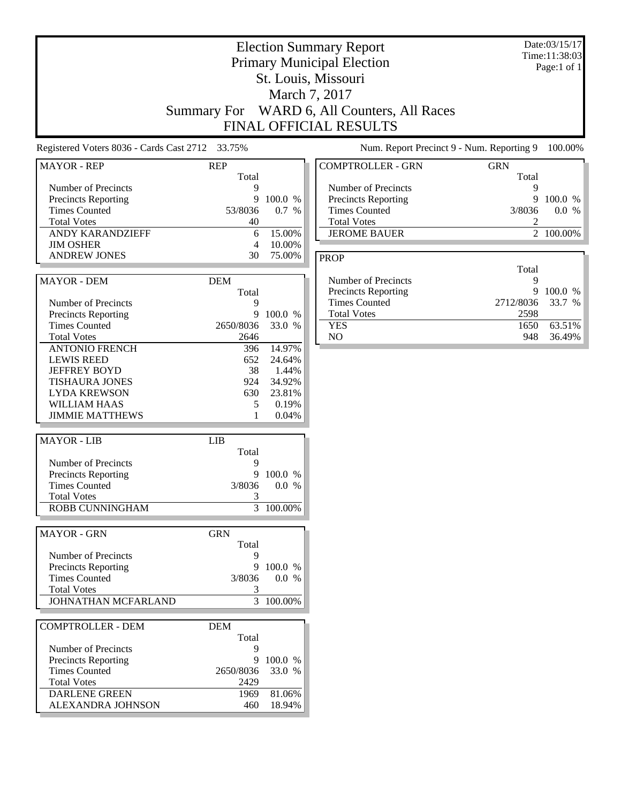|                                                                                                                                              |                                                     |                                                       | <b>Election Summary Report</b><br><b>Primary Municipal Election</b><br>St. Louis, Missouri<br>March 7, 2017<br>Summary For WARD 6, All Counters, All Races<br>FINAL OFFICIAL RESULTS |                                      | Date:03/15/17<br>Time:11:38:03<br>Page:1 of 1 |
|----------------------------------------------------------------------------------------------------------------------------------------------|-----------------------------------------------------|-------------------------------------------------------|--------------------------------------------------------------------------------------------------------------------------------------------------------------------------------------|--------------------------------------|-----------------------------------------------|
| Registered Voters 8036 - Cards Cast 2712 33.75%                                                                                              |                                                     |                                                       | Num. Report Precinct 9 - Num. Reporting 9                                                                                                                                            |                                      | 100.00%                                       |
| <b>MAYOR - REP</b>                                                                                                                           | <b>REP</b>                                          |                                                       | <b>COMPTROLLER - GRN</b>                                                                                                                                                             | <b>GRN</b>                           |                                               |
| Number of Precincts<br>Precincts Reporting<br><b>Times Counted</b><br><b>Total Votes</b><br>ANDY KARANDZIEFF<br><b>JIM OSHER</b>             | Total<br>9<br>9<br>53/8036<br>40<br>6<br>4          | 100.0 %<br>0.7 %<br>15.00%<br>10.00%                  | Number of Precincts<br><b>Precincts Reporting</b><br><b>Times Counted</b><br><b>Total Votes</b><br><b>JEROME BAUER</b>                                                               | Total<br>9<br>9<br>3/8036<br>2       | 100.0 %<br>0.0 %<br>2 100.00%                 |
| <b>ANDREW JONES</b>                                                                                                                          | 30                                                  | 75.00%                                                | <b>PROP</b>                                                                                                                                                                          |                                      |                                               |
| <b>MAYOR - DEM</b><br>Number of Precincts<br>Precincts Reporting                                                                             | <b>DEM</b><br>Total<br>9<br>9                       | 100.0 %                                               | Number of Precincts<br>Precincts Reporting<br><b>Times Counted</b><br><b>Total Votes</b>                                                                                             | Total<br>9<br>9<br>2712/8036<br>2598 | 100.0 %<br>33.7 %                             |
| <b>Times Counted</b><br><b>Total Votes</b><br><b>ANTONIO FRENCH</b>                                                                          | 2650/8036<br>2646<br>396                            | 33.0 %<br>14.97%                                      | <b>YES</b><br>NO                                                                                                                                                                     | 1650<br>948                          | 63.51%<br>36.49%                              |
| <b>LEWIS REED</b><br><b>JEFFREY BOYD</b><br><b>TISHAURA JONES</b><br><b>LYDA KREWSON</b><br>WILLIAM HAAS<br><b>JIMMIE MATTHEWS</b>           | 652<br>38<br>924<br>630<br>5<br>1                   | 24.64%<br>1.44%<br>34.92%<br>23.81%<br>0.19%<br>0.04% |                                                                                                                                                                                      |                                      |                                               |
| <b>MAYOR - LIB</b>                                                                                                                           | <b>LIB</b>                                          |                                                       |                                                                                                                                                                                      |                                      |                                               |
| Number of Precincts<br>Precincts Reporting<br><b>Times Counted</b><br><b>Total Votes</b><br>ROBB CUNNINGHAM                                  | Total<br>9<br>9<br>3/8036<br>3                      | 100.0 %<br>0.0 %<br>$3 - 100.00\%$                    |                                                                                                                                                                                      |                                      |                                               |
| <b>MAYOR - GRN</b>                                                                                                                           | <b>GRN</b>                                          |                                                       |                                                                                                                                                                                      |                                      |                                               |
| Number of Precincts<br>Precincts Reporting<br><b>Times Counted</b><br><b>Total Votes</b><br>JOHNATHAN MCFARLAND                              | Total<br>9<br>9<br>3/8036<br>3                      | 100.0 %<br>0.0 %<br>3 100.00%                         |                                                                                                                                                                                      |                                      |                                               |
| <b>COMPTROLLER - DEM</b>                                                                                                                     | <b>DEM</b>                                          |                                                       |                                                                                                                                                                                      |                                      |                                               |
| Number of Precincts<br><b>Precincts Reporting</b><br><b>Times Counted</b><br><b>Total Votes</b><br><b>DARLENE GREEN</b><br>ALEXANDRA JOHNSON | Total<br>9<br>9<br>2650/8036<br>2429<br>1969<br>460 | 100.0 %<br>33.0 %<br>81.06%<br>18.94%                 |                                                                                                                                                                                      |                                      |                                               |

J

ŀ.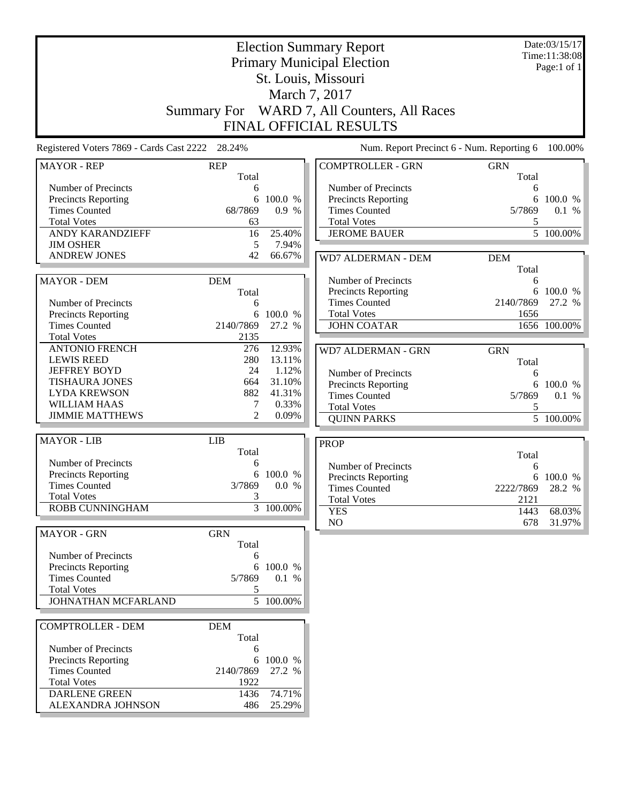| <b>Election Summary Report</b><br><b>Primary Municipal Election</b> |                     |                        |                                             |                     | Date:03/15/17<br>Time:11:38:08 |
|---------------------------------------------------------------------|---------------------|------------------------|---------------------------------------------|---------------------|--------------------------------|
|                                                                     |                     |                        |                                             |                     | Page:1 of $1$                  |
|                                                                     |                     |                        | St. Louis, Missouri                         |                     |                                |
|                                                                     |                     |                        | March 7, 2017                               |                     |                                |
|                                                                     | <b>Summary For</b>  |                        | WARD 7, All Counters, All Races             |                     |                                |
|                                                                     |                     |                        | <b>FINAL OFFICIAL RESULTS</b>               |                     |                                |
| Registered Voters 7869 - Cards Cast 2222 28.24%                     |                     |                        | Num. Report Precinct 6 - Num. Reporting 6   |                     | 100.00%                        |
| <b>MAYOR - REP</b>                                                  | <b>REP</b><br>Total |                        | <b>COMPTROLLER - GRN</b>                    | <b>GRN</b><br>Total |                                |
| Number of Precincts                                                 | 6                   |                        | Number of Precincts                         | 6                   |                                |
| <b>Precincts Reporting</b>                                          | 6                   | 100.0 %                | Precincts Reporting                         | 6                   | 100.0 %                        |
| <b>Times Counted</b>                                                | 68/7869             | 0.9 %                  | <b>Times Counted</b>                        | 5/7869              | 0.1 %                          |
| <b>Total Votes</b>                                                  | 63                  |                        | <b>Total Votes</b>                          | 5                   |                                |
| <b>ANDY KARANDZIEFF</b>                                             | 16                  | 25.40%                 | <b>JEROME BAUER</b>                         |                     | $\overline{5}$ 100.00%         |
| <b>JIM OSHER</b>                                                    | 5                   | 7.94%                  |                                             |                     |                                |
| <b>ANDREW JONES</b>                                                 | 42                  | 66.67%                 | WD7 ALDERMAN - DEM                          | <b>DEM</b>          |                                |
|                                                                     |                     |                        |                                             | Total               |                                |
| <b>MAYOR - DEM</b>                                                  | <b>DEM</b>          |                        | Number of Precincts                         | 6<br>6              |                                |
| Number of Precincts                                                 | Total<br>6          |                        | Precincts Reporting<br><b>Times Counted</b> | 2140/7869           | 100.0 %<br>27.2 %              |
| <b>Precincts Reporting</b>                                          | 6                   | 100.0 %                | <b>Total Votes</b>                          | 1656                |                                |
| <b>Times Counted</b>                                                | 2140/7869           | 27.2 %                 | <b>JOHN COATAR</b>                          |                     | 1656 100.00%                   |
| <b>Total Votes</b>                                                  | 2135                |                        |                                             |                     |                                |
| <b>ANTONIO FRENCH</b>                                               | 276                 | 12.93%                 | WD7 ALDERMAN - GRN                          | <b>GRN</b>          |                                |
| <b>LEWIS REED</b>                                                   | 280                 | 13.11%                 |                                             | Total               |                                |
| <b>JEFFREY BOYD</b>                                                 | 24                  | 1.12%                  | Number of Precincts                         | 6                   |                                |
| <b>TISHAURA JONES</b>                                               | 664                 | 31.10%                 | Precincts Reporting                         | 6                   | 100.0 %                        |
| <b>LYDA KREWSON</b>                                                 | 882                 | 41.31%                 | <b>Times Counted</b>                        | 5/7869              | 0.1 %                          |
| <b>WILLIAM HAAS</b><br><b>JIMMIE MATTHEWS</b>                       | 7                   | 0.33%                  | <b>Total Votes</b>                          | 5                   |                                |
|                                                                     | 2                   | 0.09%                  | <b>QUINN PARKS</b>                          |                     | $\overline{5}$ 100.00%         |
| <b>MAYOR - LIB</b>                                                  | <b>LIB</b>          |                        | <b>PROP</b>                                 |                     |                                |
|                                                                     | Total               |                        |                                             | Total               |                                |
| Number of Precincts                                                 | 6                   |                        | Number of Precincts                         | 6                   |                                |
| <b>Precincts Reporting</b>                                          | 6                   | 100.0 %                | Precincts Reporting                         | 6                   | 100.0 %                        |
| <b>Times Counted</b>                                                | 3/7869              | 0.0 %                  | <b>Times Counted</b>                        | 2222/7869           | 28.2 %                         |
| <b>Total Votes</b>                                                  | 3                   |                        | <b>Total Votes</b>                          | 2121                |                                |
| ROBB CUNNINGHAM                                                     |                     | $\overline{3}$ 100.00% | <b>YES</b>                                  | 1443                | 68.03%                         |
| <b>MAYOR - GRN</b>                                                  | <b>GRN</b>          |                        | NO                                          | 678                 | 31.97%                         |
|                                                                     | Total               |                        |                                             |                     |                                |
| Number of Precincts                                                 | 6                   |                        |                                             |                     |                                |
| Precincts Reporting                                                 |                     | 6 100.0 %              |                                             |                     |                                |
| <b>Times Counted</b>                                                | 5/7869              | 0.1 %                  |                                             |                     |                                |
| <b>Total Votes</b>                                                  | 5                   |                        |                                             |                     |                                |
| JOHNATHAN MCFARLAND                                                 |                     | $\overline{5}$ 100.00% |                                             |                     |                                |
| <b>COMPTROLLER - DEM</b>                                            | <b>DEM</b>          |                        |                                             |                     |                                |
|                                                                     | Total               |                        |                                             |                     |                                |
| Number of Precincts                                                 | 6                   |                        |                                             |                     |                                |
| <b>Precincts Reporting</b>                                          | 6                   | 100.0 %                |                                             |                     |                                |
| <b>Times Counted</b>                                                | 2140/7869           | 27.2 %                 |                                             |                     |                                |
| <b>Total Votes</b>                                                  | 1922                |                        |                                             |                     |                                |
| <b>DARLENE GREEN</b>                                                | 1436                | 74.71%                 |                                             |                     |                                |
| ALEXANDRA JOHNSON                                                   | 486                 | 25.29%                 |                                             |                     |                                |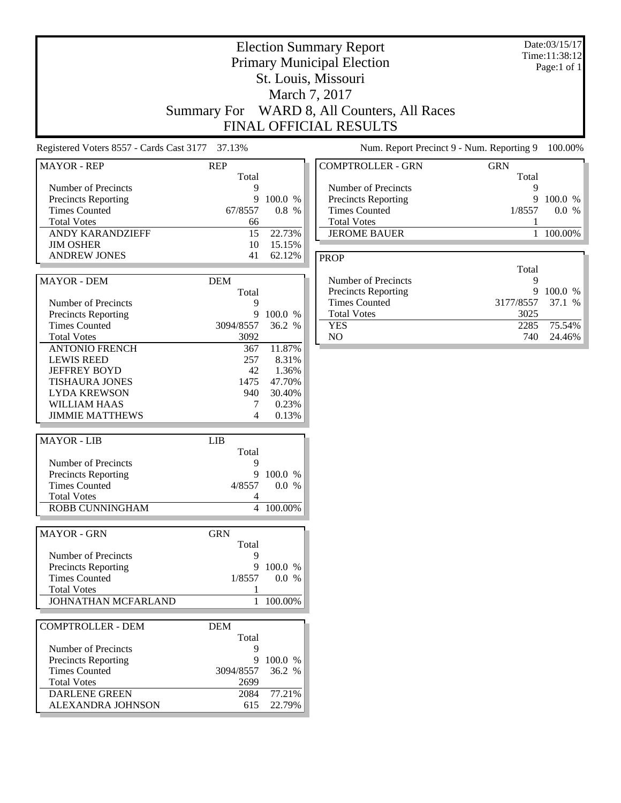|                                                                                                                                              | Summary For                                         |                                                      | March 7, 2017<br>WARD 8, All Counters, All Races<br>FINAL OFFICIAL RESULTS                                             |                                      |                               |
|----------------------------------------------------------------------------------------------------------------------------------------------|-----------------------------------------------------|------------------------------------------------------|------------------------------------------------------------------------------------------------------------------------|--------------------------------------|-------------------------------|
| Registered Voters 8557 - Cards Cast 3177 37.13%                                                                                              |                                                     |                                                      | Num. Report Precinct 9 - Num. Reporting 9                                                                              |                                      | 100.00%                       |
| <b>MAYOR - REP</b>                                                                                                                           | <b>REP</b>                                          |                                                      | <b>COMPTROLLER - GRN</b>                                                                                               | <b>GRN</b>                           |                               |
| Number of Precincts<br>Precincts Reporting<br><b>Times Counted</b><br><b>Total Votes</b><br><b>ANDY KARANDZIEFF</b><br><b>JIM OSHER</b>      | Total<br>9<br>9<br>67/8557<br>66<br>15<br>10        | 100.0 %<br>0.8 %<br>22.73%<br>15.15%                 | Number of Precincts<br><b>Precincts Reporting</b><br><b>Times Counted</b><br><b>Total Votes</b><br><b>JEROME BAUER</b> | Total<br>9<br>9<br>1/8557            | 100.0 %<br>0.0 %<br>1 100.00% |
| <b>ANDREW JONES</b>                                                                                                                          | 41                                                  | 62.12%                                               | <b>PROP</b>                                                                                                            |                                      |                               |
| <b>MAYOR - DEM</b><br>Number of Precincts                                                                                                    | <b>DEM</b><br>Total<br>9                            |                                                      | Number of Precincts<br>Precincts Reporting<br><b>Times Counted</b><br><b>Total Votes</b>                               | Total<br>9<br>9<br>3177/8557<br>3025 | 100.0 %<br>37.1 %             |
| Precincts Reporting<br><b>Times Counted</b><br><b>Total Votes</b><br><b>ANTONIO FRENCH</b>                                                   | 9<br>3094/8557<br>3092<br>367                       | 100.0 %<br>36.2 %<br>11.87%                          | <b>YES</b><br>NO                                                                                                       | 2285<br>740                          | 75.54%<br>24.46%              |
| <b>LEWIS REED</b><br><b>JEFFREY BOYD</b><br><b>TISHAURA JONES</b><br><b>LYDA KREWSON</b><br>WILLIAM HAAS<br><b>JIMMIE MATTHEWS</b>           | 257<br>42<br>1475<br>940<br>7<br>4                  | 8.31%<br>1.36%<br>47.70%<br>30.40%<br>0.23%<br>0.13% |                                                                                                                        |                                      |                               |
| <b>MAYOR - LIB</b>                                                                                                                           | <b>LIB</b><br>Total                                 |                                                      |                                                                                                                        |                                      |                               |
| Number of Precincts<br>Precincts Reporting<br><b>Times Counted</b><br><b>Total Votes</b><br>ROBB CUNNINGHAM                                  | 9<br>$\overline{9}$<br>4/8557<br>4                  | 100.0 %<br>0.0 %<br>4 100.00%                        |                                                                                                                        |                                      |                               |
| <b>MAYOR - GRN</b>                                                                                                                           | <b>GRN</b>                                          |                                                      |                                                                                                                        |                                      |                               |
| Number of Precincts<br><b>Precincts Reporting</b><br><b>Times Counted</b><br><b>Total Votes</b><br>JOHNATHAN MCFARLAND                       | Total<br>9<br>1/8557<br>1                           | 9 100.0 %<br>0.0 %<br>1 100.00%                      |                                                                                                                        |                                      |                               |
| <b>COMPTROLLER - DEM</b>                                                                                                                     | <b>DEM</b>                                          |                                                      |                                                                                                                        |                                      |                               |
| Number of Precincts<br><b>Precincts Reporting</b><br><b>Times Counted</b><br><b>Total Votes</b><br><b>DARLENE GREEN</b><br>ALEXANDRA JOHNSON | Total<br>9<br>9<br>3094/8557<br>2699<br>2084<br>615 | 100.0 %<br>36.2 %<br>77.21%<br>22.79%                |                                                                                                                        |                                      |                               |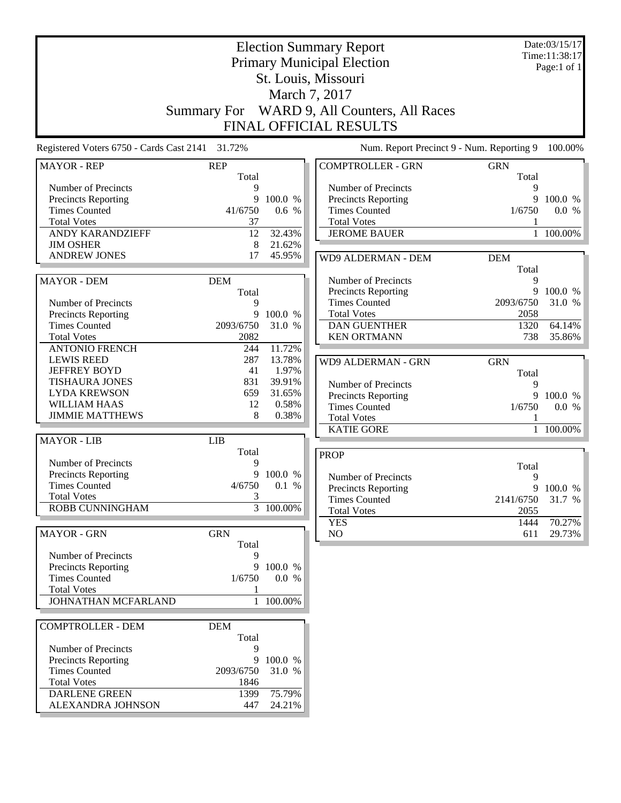|                                                    | <b>Election Summary Report</b><br><b>Primary Municipal Election</b><br>St. Louis, Missouri |                |                                             |                   |                     |
|----------------------------------------------------|--------------------------------------------------------------------------------------------|----------------|---------------------------------------------|-------------------|---------------------|
|                                                    |                                                                                            |                | March 7, 2017                               |                   |                     |
|                                                    | <b>Summary For</b>                                                                         |                | WARD 9, All Counters, All Races             |                   |                     |
|                                                    |                                                                                            |                | <b>FINAL OFFICIAL RESULTS</b>               |                   |                     |
| Registered Voters 6750 - Cards Cast 2141 31.72%    |                                                                                            |                | Num. Report Precinct 9 - Num. Reporting 9   |                   | 100.00%             |
| <b>MAYOR - REP</b>                                 | <b>REP</b>                                                                                 |                | <b>COMPTROLLER - GRN</b>                    | <b>GRN</b>        |                     |
|                                                    | Total                                                                                      |                |                                             | Total             |                     |
| Number of Precincts                                | 9                                                                                          |                | Number of Precincts                         | 9                 |                     |
| <b>Precincts Reporting</b><br><b>Times Counted</b> | 9<br>41/6750                                                                               | 100.0 %        | Precincts Reporting<br><b>Times Counted</b> | 9<br>1/6750       | 100.0 %             |
| <b>Total Votes</b>                                 | 37                                                                                         | 0.6 %          | <b>Total Votes</b>                          |                   | 0.0 %               |
| <b>ANDY KARANDZIEFF</b>                            | 12                                                                                         | 32.43%         | <b>JEROME BAUER</b>                         |                   | 100.00%             |
| <b>JIM OSHER</b>                                   | 8                                                                                          | 21.62%         |                                             |                   |                     |
| <b>ANDREW JONES</b>                                | 17                                                                                         | 45.95%         | WD9 ALDERMAN - DEM                          | <b>DEM</b>        |                     |
|                                                    |                                                                                            |                |                                             | Total             |                     |
| <b>MAYOR - DEM</b>                                 | <b>DEM</b>                                                                                 |                | Number of Precincts                         | 9                 |                     |
|                                                    | Total                                                                                      |                | <b>Precincts Reporting</b>                  | 9                 | 100.0 %             |
| Number of Precincts                                | 9                                                                                          |                | <b>Times Counted</b>                        | 2093/6750         | 31.0 %              |
| <b>Precincts Reporting</b>                         | 9                                                                                          | 100.0 %        | <b>Total Votes</b>                          | 2058              |                     |
| <b>Times Counted</b>                               | 2093/6750                                                                                  | 31.0 %         | <b>DAN GUENTHER</b>                         | 1320              | 64.14%              |
| <b>Total Votes</b>                                 | 2082                                                                                       |                | <b>KEN ORTMANN</b>                          | 738               | 35.86%              |
| <b>ANTONIO FRENCH</b>                              | 244                                                                                        | 11.72%         |                                             |                   |                     |
| <b>LEWIS REED</b>                                  | 287                                                                                        | 13.78%         | WD9 ALDERMAN - GRN                          | <b>GRN</b>        |                     |
| <b>JEFFREY BOYD</b>                                | 41                                                                                         | 1.97%          |                                             | Total             |                     |
| <b>TISHAURA JONES</b>                              | 831                                                                                        | 39.91%         | Number of Precincts                         | 9                 |                     |
| <b>LYDA KREWSON</b>                                | 659                                                                                        | 31.65%         | Precincts Reporting                         | 9                 | 100.0 %             |
| <b>WILLIAM HAAS</b>                                | 12                                                                                         | 0.58%          | <b>Times Counted</b>                        | 1/6750            | 0.0 %               |
| <b>JIMMIE MATTHEWS</b>                             | 8                                                                                          | 0.38%          | <b>Total Votes</b>                          |                   |                     |
|                                                    |                                                                                            |                | <b>KATIE GORE</b>                           |                   | 1 100.00%           |
| <b>MAYOR - LIB</b>                                 | <b>LIB</b>                                                                                 |                |                                             |                   |                     |
| Number of Precincts                                | Total<br>9                                                                                 |                | <b>PROP</b>                                 |                   |                     |
| <b>Precincts Reporting</b>                         | 9                                                                                          | 100.0 %        |                                             | Total             |                     |
| <b>Times Counted</b>                               | 4/6750                                                                                     | 0.1 %          | Number of Precincts                         | 9                 |                     |
| <b>Total Votes</b>                                 | 3                                                                                          |                | Precincts Reporting<br><b>Times Counted</b> |                   | 9 100.0 %<br>31.7 % |
| ROBB CUNNINGHAM                                    |                                                                                            | $3 - 100.00\%$ | <b>Total Votes</b>                          | 2141/6750<br>2055 |                     |
|                                                    |                                                                                            |                | <b>YES</b>                                  | 1444              | 70.27%              |
| <b>MAYOR - GRN</b>                                 | <b>GRN</b>                                                                                 |                | NO                                          | 611               | 29.73%              |
|                                                    | Total                                                                                      |                |                                             |                   |                     |
| Number of Precincts                                | 9                                                                                          |                |                                             |                   |                     |
| Precincts Reporting                                |                                                                                            | 9 100.0 %      |                                             |                   |                     |
| <b>Times Counted</b>                               | 1/6750                                                                                     | 0.0 %          |                                             |                   |                     |
| <b>Total Votes</b>                                 | -1                                                                                         |                |                                             |                   |                     |
| JOHNATHAN MCFARLAND                                |                                                                                            | 1 100.00%      |                                             |                   |                     |
| <b>COMPTROLLER - DEM</b>                           | <b>DEM</b>                                                                                 |                |                                             |                   |                     |
|                                                    | Total                                                                                      |                |                                             |                   |                     |
| Number of Precincts                                | 9                                                                                          |                |                                             |                   |                     |
| <b>Precincts Reporting</b>                         |                                                                                            | 9 100.0 %      |                                             |                   |                     |
| <b>Times Counted</b>                               | 2093/6750                                                                                  | 31.0 %         |                                             |                   |                     |
| <b>Total Votes</b>                                 | 1846                                                                                       |                |                                             |                   |                     |
| <b>DARLENE GREEN</b>                               | 1399                                                                                       | 75.79%         |                                             |                   |                     |
| ALEXANDRA JOHNSON                                  | 447                                                                                        | 24.21%         |                                             |                   |                     |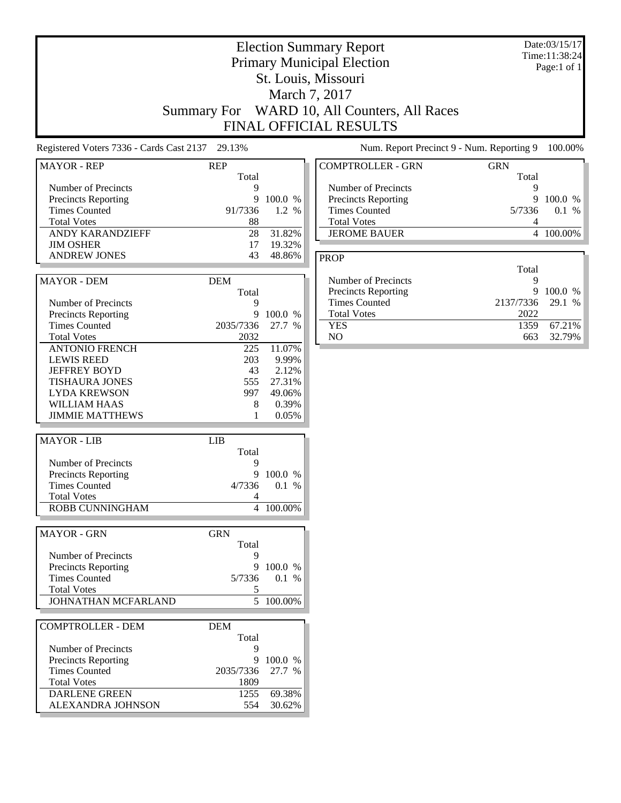|                                                                                                                                                                    |                                              |                                                                | <b>Election Summary Report</b><br><b>Primary Municipal Election</b><br>St. Louis, Missouri<br>March 7, 2017<br>Summary For WARD 10, All Counters, All Races<br>FINAL OFFICIAL RESULTS |                                | Date:03/15/17<br>Time:11:38:24<br>Page:1 of 1 |
|--------------------------------------------------------------------------------------------------------------------------------------------------------------------|----------------------------------------------|----------------------------------------------------------------|---------------------------------------------------------------------------------------------------------------------------------------------------------------------------------------|--------------------------------|-----------------------------------------------|
| Registered Voters 7336 - Cards Cast 2137 29.13%                                                                                                                    |                                              |                                                                | Num. Report Precinct 9 - Num. Reporting 9                                                                                                                                             |                                | 100.00%                                       |
| <b>MAYOR - REP</b>                                                                                                                                                 | <b>REP</b>                                   |                                                                | <b>COMPTROLLER - GRN</b>                                                                                                                                                              | <b>GRN</b>                     |                                               |
| Number of Precincts<br>Precincts Reporting<br><b>Times Counted</b><br><b>Total Votes</b>                                                                           | Total<br>9<br>9<br>91/7336<br>88             | 100.0 %<br>1.2 %                                               | Number of Precincts<br>Precincts Reporting<br><b>Times Counted</b><br><b>Total Votes</b>                                                                                              | Total<br>9<br>9<br>5/7336<br>4 | 100.0 %<br>$0.1 \%$                           |
| ANDY KARANDZIEFF                                                                                                                                                   | 28                                           | 31.82%                                                         | <b>JEROME BAUER</b>                                                                                                                                                                   |                                | 4 100.00%                                     |
| <b>JIM OSHER</b><br><b>ANDREW JONES</b>                                                                                                                            | 17<br>43                                     | 19.32%<br>48.86%                                               | <b>PROP</b>                                                                                                                                                                           |                                |                                               |
| <b>MAYOR - DEM</b>                                                                                                                                                 | <b>DEM</b><br>Total                          |                                                                | Number of Precincts<br>Precincts Reporting                                                                                                                                            | Total<br>9<br>9                | 100.0 %                                       |
| Number of Precincts<br>Precincts Reporting                                                                                                                         | 9<br>9                                       | 100.0 %                                                        | <b>Times Counted</b><br><b>Total Votes</b>                                                                                                                                            | 2137/7336<br>2022              | 29.1 %                                        |
| <b>Times Counted</b><br><b>Total Votes</b>                                                                                                                         | 2035/7336<br>2032                            | 27.7 %                                                         | <b>YES</b><br>NO                                                                                                                                                                      | 1359<br>663                    | 67.21%<br>32.79%                              |
| <b>ANTONIO FRENCH</b><br><b>LEWIS REED</b><br><b>JEFFREY BOYD</b><br><b>TISHAURA JONES</b><br><b>LYDA KREWSON</b><br><b>WILLIAM HAAS</b><br><b>JIMMIE MATTHEWS</b> | 225<br>203<br>43<br>555<br>997<br>8<br>1     | 11.07%<br>9.99%<br>2.12%<br>27.31%<br>49.06%<br>0.39%<br>0.05% |                                                                                                                                                                                       |                                |                                               |
| <b>MAYOR - LIB</b>                                                                                                                                                 | <b>LIB</b>                                   |                                                                |                                                                                                                                                                                       |                                |                                               |
| Number of Precincts<br><b>Precincts Reporting</b><br><b>Times Counted</b><br><b>Total Votes</b><br>ROBB CUNNINGHAM                                                 | Total<br>9<br>4                              | 9 100.0 %<br>4/7336 0.1 %<br>4 100.00%                         |                                                                                                                                                                                       |                                |                                               |
| <b>MAYOR - GRN</b>                                                                                                                                                 | <b>GRN</b><br>Total                          |                                                                |                                                                                                                                                                                       |                                |                                               |
| Number of Precincts<br>Precincts Reporting<br><b>Times Counted</b><br><b>Total Votes</b><br>JOHNATHAN MCFARLAND                                                    | 9<br>5/7336<br>5                             | 9 100.0 %<br>0.1 %<br>5 100.00%                                |                                                                                                                                                                                       |                                |                                               |
| <b>COMPTROLLER - DEM</b>                                                                                                                                           | <b>DEM</b>                                   |                                                                |                                                                                                                                                                                       |                                |                                               |
| Number of Precincts<br><b>Precincts Reporting</b><br><b>Times Counted</b><br><b>Total Votes</b><br><b>DARLENE GREEN</b>                                            | Total<br>9<br>9<br>2035/7336<br>1809<br>1255 | 100.0 %<br>27.7 %<br>69.38%                                    |                                                                                                                                                                                       |                                |                                               |
| ALEXANDRA JOHNSON                                                                                                                                                  | 554                                          | 30.62%                                                         |                                                                                                                                                                                       |                                |                                               |

J

ŀ.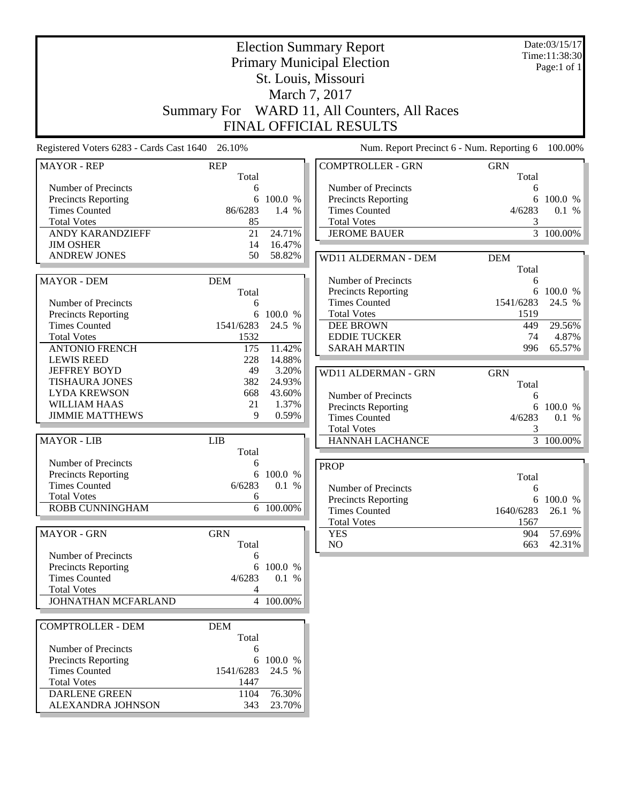|                                                 | <b>Election Summary Report</b><br><b>Primary Municipal Election</b><br>St. Louis, Missouri |                  |                                                            |                     |           |
|-------------------------------------------------|--------------------------------------------------------------------------------------------|------------------|------------------------------------------------------------|---------------------|-----------|
|                                                 |                                                                                            |                  |                                                            |                     |           |
|                                                 | <b>Summary For</b>                                                                         |                  | WARD 11, All Counters, All Races<br>FINAL OFFICIAL RESULTS |                     |           |
| Registered Voters 6283 - Cards Cast 1640 26.10% |                                                                                            |                  | Num. Report Precinct 6 - Num. Reporting 6                  |                     | 100.00%   |
| <b>MAYOR - REP</b>                              | <b>REP</b><br>Total                                                                        |                  | <b>COMPTROLLER - GRN</b>                                   | <b>GRN</b><br>Total |           |
| Number of Precincts                             | 6                                                                                          |                  | Number of Precincts                                        | 6                   |           |
| Precincts Reporting                             | 6                                                                                          | 100.0 %          | Precincts Reporting                                        | 6                   | 100.0 %   |
| <b>Times Counted</b>                            | 86/6283                                                                                    | 1.4 %            | <b>Times Counted</b>                                       | 4/6283              | 0.1 %     |
| <b>Total Votes</b>                              | 85                                                                                         |                  | <b>Total Votes</b>                                         | 3                   |           |
| ANDY KARANDZIEFF                                | 21                                                                                         | 24.71%           | <b>JEROME BAUER</b>                                        |                     | 3 100.00% |
| <b>JIM OSHER</b><br><b>ANDREW JONES</b>         | 14<br>50                                                                                   | 16.47%<br>58.82% |                                                            |                     |           |
|                                                 |                                                                                            |                  | WD11 ALDERMAN - DEM                                        | <b>DEM</b>          |           |
|                                                 |                                                                                            |                  |                                                            | Total               |           |
| <b>MAYOR - DEM</b>                              | <b>DEM</b><br>Total                                                                        |                  | Number of Precincts<br>Precincts Reporting                 | 6                   | 6 100.0 % |
| Number of Precincts                             | 6                                                                                          |                  | <b>Times Counted</b>                                       | 1541/6283           | 24.5 %    |
| Precincts Reporting                             | 6                                                                                          | 100.0 %          | <b>Total Votes</b>                                         | 1519                |           |
| <b>Times Counted</b>                            | 1541/6283                                                                                  | 24.5 %           | <b>DEE BROWN</b>                                           | 449                 | 29.56%    |
| <b>Total Votes</b>                              | 1532                                                                                       |                  | <b>EDDIE TUCKER</b>                                        | 74                  | 4.87%     |
| <b>ANTONIO FRENCH</b>                           | 175                                                                                        | 11.42%           | <b>SARAH MARTIN</b>                                        | 996                 | 65.57%    |
| <b>LEWIS REED</b>                               | 228                                                                                        | 14.88%           |                                                            |                     |           |
| <b>JEFFREY BOYD</b>                             | 49                                                                                         | 3.20%            | WD11 ALDERMAN - GRN                                        | <b>GRN</b>          |           |
| <b>TISHAURA JONES</b>                           | 382                                                                                        | 24.93%           |                                                            | Total               |           |
| <b>LYDA KREWSON</b>                             | 668                                                                                        | 43.60%           | Number of Precincts                                        | 6                   |           |
| WILLIAM HAAS                                    | 21                                                                                         | 1.37%            | Precincts Reporting                                        |                     | 6 100.0 % |
| <b>JIMMIE MATTHEWS</b>                          | 9                                                                                          | 0.59%            | <b>Times Counted</b>                                       | 4/6283              | 0.1 %     |
|                                                 |                                                                                            |                  | <b>Total Votes</b>                                         | 3                   |           |
| <b>MAYOR - LIB</b>                              | <b>LIB</b><br>Total                                                                        |                  | <b>HANNAH LACHANCE</b>                                     |                     | 3 100.00% |
| Number of Precincts                             | 6                                                                                          |                  | <b>PROP</b>                                                |                     |           |
| <b>Precincts Reporting</b>                      | 6                                                                                          | 100.0 %          |                                                            | Total               |           |
| <b>Times Counted</b>                            | 6/6283                                                                                     | 0.1 %            | Number of Precincts                                        | 6                   |           |
| <b>Total Votes</b>                              | 6                                                                                          |                  | <b>Precincts Reporting</b>                                 |                     | 6 100.0 % |
| ROBB CUNNINGHAM                                 |                                                                                            | $6 - 100.00\%$   | <b>Times Counted</b>                                       | 1640/6283           | 26.1 %    |
|                                                 |                                                                                            |                  | <b>Total Votes</b>                                         | 1567                |           |
| <b>MAYOR - GRN</b>                              | <b>GRN</b>                                                                                 |                  | <b>YES</b>                                                 | 904                 | 57.69%    |
|                                                 | Total                                                                                      |                  | NO                                                         | 663                 | 42.31%    |
| Number of Precincts                             | 6                                                                                          |                  |                                                            |                     |           |
| Precincts Reporting                             |                                                                                            | 6 100.0 %        |                                                            |                     |           |
| <b>Times Counted</b>                            | 4/6283                                                                                     | 0.1 %            |                                                            |                     |           |
| <b>Total Votes</b>                              | 4                                                                                          |                  |                                                            |                     |           |
| JOHNATHAN MCFARLAND                             |                                                                                            | 4 100.00%        |                                                            |                     |           |
| <b>COMPTROLLER - DEM</b>                        | <b>DEM</b>                                                                                 |                  |                                                            |                     |           |
|                                                 | Total                                                                                      |                  |                                                            |                     |           |
| Number of Precincts                             | 6                                                                                          |                  |                                                            |                     |           |
| <b>Precincts Reporting</b>                      |                                                                                            | 6 100.0 %        |                                                            |                     |           |
| <b>Times Counted</b>                            | 1541/6283                                                                                  | 24.5 %           |                                                            |                     |           |
| <b>Total Votes</b>                              | 1447                                                                                       |                  |                                                            |                     |           |
| <b>DARLENE GREEN</b>                            | 1104                                                                                       | 76.30%           |                                                            |                     |           |
| ALEXANDRA JOHNSON                               | 343                                                                                        | 23.70%           |                                                            |                     |           |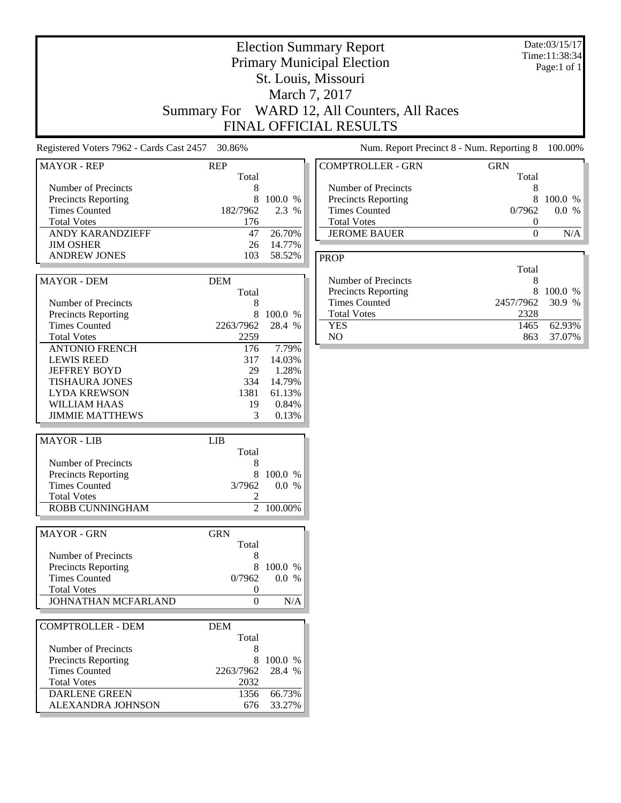|                                                                                                                                                                    |                                                |                                                                | <b>Election Summary Report</b><br><b>Primary Municipal Election</b><br>St. Louis, Missouri<br>March 7, 2017<br>Summary For WARD 12, All Counters, All Races<br><b>FINAL OFFICIAL RESULTS</b> |                                                    | Date:03/15/17<br>Time:11:38:34<br>Page:1 of 1 |
|--------------------------------------------------------------------------------------------------------------------------------------------------------------------|------------------------------------------------|----------------------------------------------------------------|----------------------------------------------------------------------------------------------------------------------------------------------------------------------------------------------|----------------------------------------------------|-----------------------------------------------|
| Registered Voters 7962 - Cards Cast 2457 30.86%                                                                                                                    |                                                |                                                                | Num. Report Precinct 8 - Num. Reporting 8                                                                                                                                                    |                                                    | 100.00%                                       |
| <b>MAYOR - REP</b>                                                                                                                                                 | <b>REP</b>                                     |                                                                | <b>COMPTROLLER - GRN</b>                                                                                                                                                                     | <b>GRN</b>                                         |                                               |
| Number of Precincts<br>Precincts Reporting<br><b>Times Counted</b><br><b>Total Votes</b><br><b>ANDY KARANDZIEFF</b><br><b>JIM OSHER</b>                            | Total<br>8<br>8<br>182/7962<br>176<br>47<br>26 | 100.0 %<br>2.3 %<br>26.70%<br>14.77%                           | Number of Precincts<br><b>Precincts Reporting</b><br><b>Times Counted</b><br><b>Total Votes</b><br><b>JEROME BAUER</b>                                                                       | Total<br>8<br>8<br>0/7962<br>0<br>$\boldsymbol{0}$ | 100.0 %<br>0.0 %<br>N/A                       |
| <b>ANDREW JONES</b>                                                                                                                                                | 103                                            | 58.52%                                                         | <b>PROP</b>                                                                                                                                                                                  |                                                    |                                               |
| <b>MAYOR - DEM</b><br>Number of Precincts<br><b>Precincts Reporting</b>                                                                                            | <b>DEM</b><br>Total<br>8<br>8                  | 100.0 %                                                        | Number of Precincts<br><b>Precincts Reporting</b><br><b>Times Counted</b><br><b>Total Votes</b>                                                                                              | Total<br>8<br>8<br>2457/7962<br>2328               | 100.0 %<br>30.9 %                             |
| <b>Times Counted</b><br><b>Total Votes</b>                                                                                                                         | 2263/7962<br>2259                              | 28.4 %                                                         | <b>YES</b><br>NO.                                                                                                                                                                            | 1465<br>863                                        | 62.93%<br>37.07%                              |
| <b>ANTONIO FRENCH</b><br><b>LEWIS REED</b><br><b>JEFFREY BOYD</b><br><b>TISHAURA JONES</b><br><b>LYDA KREWSON</b><br><b>WILLIAM HAAS</b><br><b>JIMMIE MATTHEWS</b> | 176<br>317<br>29<br>334<br>1381<br>19<br>3     | 7.79%<br>14.03%<br>1.28%<br>14.79%<br>61.13%<br>0.84%<br>0.13% |                                                                                                                                                                                              |                                                    |                                               |
| <b>MAYOR - LIB</b>                                                                                                                                                 | <b>LIB</b>                                     |                                                                |                                                                                                                                                                                              |                                                    |                                               |
| Number of Precincts<br>Precincts Reporting<br><b>Times Counted</b><br><b>Total Votes</b><br><b>ROBB CUNNINGHAM</b>                                                 | Total<br>8<br>8<br>3/7962<br>2                 | 100.0 %<br>0.0 %<br>2 100.00%                                  |                                                                                                                                                                                              |                                                    |                                               |
| <b>MAYOR - GRN</b>                                                                                                                                                 | <b>GRN</b>                                     |                                                                |                                                                                                                                                                                              |                                                    |                                               |
| Number of Precincts<br>Precincts Reporting<br><b>Times Counted</b><br><b>Total Votes</b><br>JOHNATHAN MCFARLAND                                                    | Total<br>8<br>0/7962<br>0<br>$\mathbf{0}$      | 100.0 %<br>0.0 %<br>N/A                                        |                                                                                                                                                                                              |                                                    |                                               |
| <b>COMPTROLLER - DEM</b>                                                                                                                                           | <b>DEM</b>                                     |                                                                |                                                                                                                                                                                              |                                                    |                                               |
| Number of Precincts<br><b>Precincts Reporting</b><br><b>Times Counted</b><br><b>Total Votes</b><br><b>DARLENE GREEN</b><br>ALEXANDRA JOHNSON                       | Total<br>8<br>2263/7962<br>2032<br>1356<br>676 | 100.0 %<br>28.4 %<br>66.73%<br>33.27%                          |                                                                                                                                                                                              |                                                    |                                               |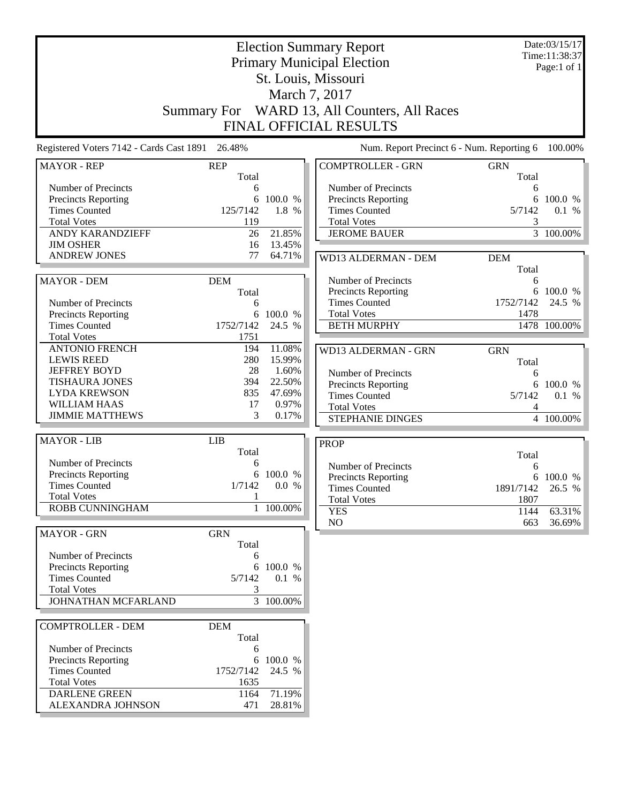|                                                 | <b>Election Summary Report</b><br><b>Primary Municipal Election</b> |                       |                                            |                     | Date:03/15/17<br>Time:11:38:37<br>Page:1 of $1$ |
|-------------------------------------------------|---------------------------------------------------------------------|-----------------------|--------------------------------------------|---------------------|-------------------------------------------------|
| St. Louis, Missouri                             |                                                                     |                       |                                            |                     |                                                 |
|                                                 |                                                                     |                       | March 7, 2017                              |                     |                                                 |
|                                                 | <b>Summary For</b>                                                  |                       | WARD 13, All Counters, All Races           |                     |                                                 |
|                                                 |                                                                     |                       | FINAL OFFICIAL RESULTS                     |                     |                                                 |
| Registered Voters 7142 - Cards Cast 1891 26.48% |                                                                     |                       | Num. Report Precinct 6 - Num. Reporting 6  |                     | 100.00%                                         |
|                                                 |                                                                     |                       |                                            |                     |                                                 |
| <b>MAYOR - REP</b>                              | <b>REP</b><br>Total                                                 |                       | <b>COMPTROLLER - GRN</b>                   | <b>GRN</b><br>Total |                                                 |
| Number of Precincts                             | 6                                                                   |                       | Number of Precincts                        | 6                   |                                                 |
| Precincts Reporting                             | 6                                                                   | 100.0 %               | <b>Precincts Reporting</b>                 | 6                   | 100.0 %                                         |
| <b>Times Counted</b><br><b>Total Votes</b>      | 125/7142<br>119                                                     | 1.8 %                 | <b>Times Counted</b><br><b>Total Votes</b> | 5/7142<br>3         | 0.1 %                                           |
| ANDY KARANDZIEFF                                | 26                                                                  | 21.85%                | <b>JEROME BAUER</b>                        |                     | $\frac{1}{3}$ 100.00%                           |
| <b>JIM OSHER</b>                                | 16                                                                  | 13.45%                |                                            |                     |                                                 |
| <b>ANDREW JONES</b>                             | 77                                                                  | 64.71%                | WD13 ALDERMAN - DEM                        | <b>DEM</b>          |                                                 |
|                                                 |                                                                     |                       |                                            | Total               |                                                 |
| <b>MAYOR - DEM</b>                              | <b>DEM</b>                                                          |                       | Number of Precincts                        | 6                   |                                                 |
|                                                 | Total                                                               |                       | Precincts Reporting                        |                     | 6 100.0 %                                       |
| Number of Precincts                             | 6                                                                   |                       | <b>Times Counted</b>                       | 1752/7142           | 24.5 %                                          |
| Precincts Reporting                             | 6                                                                   | 100.0 %               | <b>Total Votes</b>                         | 1478                |                                                 |
| <b>Times Counted</b>                            | 1752/7142                                                           | 24.5 %                | <b>BETH MURPHY</b>                         |                     | 1478 100.00%                                    |
| <b>Total Votes</b><br><b>ANTONIO FRENCH</b>     | 1751<br>194                                                         | 11.08%                |                                            |                     |                                                 |
| <b>LEWIS REED</b>                               | 280                                                                 | 15.99%                | WD13 ALDERMAN - GRN                        | <b>GRN</b>          |                                                 |
| <b>JEFFREY BOYD</b>                             | 28                                                                  | 1.60%                 | Number of Precincts                        | Total               |                                                 |
| <b>TISHAURA JONES</b>                           | 394                                                                 | 22.50%                | Precincts Reporting                        | 6<br>6              | 100.0 %                                         |
| <b>LYDA KREWSON</b>                             | 835                                                                 | 47.69%                | <b>Times Counted</b>                       | 5/7142              | 0.1 %                                           |
| <b>WILLIAM HAAS</b>                             | 17                                                                  | 0.97%                 | <b>Total Votes</b>                         | 4                   |                                                 |
| <b>JIMMIE MATTHEWS</b>                          | 3                                                                   | 0.17%                 | STEPHANIE DINGES                           |                     | 4 100.00%                                       |
| <b>MAYOR - LIB</b>                              | <b>LIB</b>                                                          |                       | <b>PROP</b>                                |                     |                                                 |
|                                                 | Total                                                               |                       |                                            | Total               |                                                 |
| Number of Precincts                             | 6                                                                   |                       | Number of Precincts                        | 6                   |                                                 |
| Precincts Reporting                             | 6                                                                   | 100.0 %               | Precincts Reporting                        |                     | 6 100.0 %                                       |
| <b>Times Counted</b>                            | 1/7142                                                              | 0.0 %                 | <b>Times Counted</b>                       | 1891/7142           | 26.5 %                                          |
| <b>Total Votes</b>                              | 1                                                                   |                       | <b>Total Votes</b>                         | 1807                |                                                 |
| ROBB CUNNINGHAM                                 | $\mathbf{1}$                                                        | 100.00%               | <b>YES</b>                                 | 1144                | 63.31%                                          |
| <b>MAYOR - GRN</b>                              | <b>GRN</b>                                                          |                       | NO                                         | 663                 | 36.69%                                          |
|                                                 | Total                                                               |                       |                                            |                     |                                                 |
| Number of Precincts                             | 6                                                                   |                       |                                            |                     |                                                 |
| Precincts Reporting                             | 6                                                                   | 100.0 %               |                                            |                     |                                                 |
| <b>Times Counted</b>                            | 5/7142                                                              | 0.1 %                 |                                            |                     |                                                 |
| <b>Total Votes</b>                              | 3                                                                   |                       |                                            |                     |                                                 |
| JOHNATHAN MCFARLAND                             |                                                                     | $\frac{1}{3}$ 100.00% |                                            |                     |                                                 |
| <b>COMPTROLLER - DEM</b>                        | <b>DEM</b>                                                          |                       |                                            |                     |                                                 |
|                                                 | Total                                                               |                       |                                            |                     |                                                 |
| Number of Precincts                             | 6                                                                   |                       |                                            |                     |                                                 |
| <b>Precincts Reporting</b>                      | 6                                                                   | 100.0 %               |                                            |                     |                                                 |
| <b>Times Counted</b>                            | 1752/7142                                                           | 24.5 %                |                                            |                     |                                                 |
| <b>Total Votes</b>                              | 1635                                                                |                       |                                            |                     |                                                 |
| <b>DARLENE GREEN</b>                            | 1164                                                                | 71.19%                |                                            |                     |                                                 |
| ALEXANDRA JOHNSON                               | 471                                                                 | 28.81%                |                                            |                     |                                                 |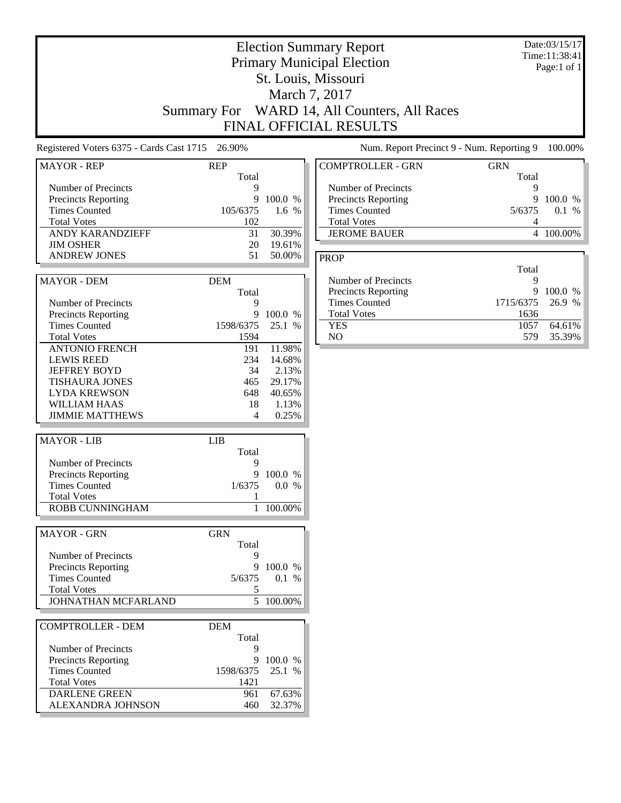|                                                                                                                                                                    |                                                |                                                                 | <b>Election Summary Report</b><br><b>Primary Municipal Election</b><br>St. Louis, Missouri<br>March 7, 2017<br>Summary For WARD 14, All Counters, All Races<br>FINAL OFFICIAL RESULTS |                                | Date:03/15/17<br>Time:11:38:41<br>Page:1 of 1 |
|--------------------------------------------------------------------------------------------------------------------------------------------------------------------|------------------------------------------------|-----------------------------------------------------------------|---------------------------------------------------------------------------------------------------------------------------------------------------------------------------------------|--------------------------------|-----------------------------------------------|
| Registered Voters 6375 - Cards Cast 1715 26.90%                                                                                                                    |                                                |                                                                 | Num. Report Precinct 9 - Num. Reporting 9                                                                                                                                             |                                | 100.00%                                       |
| <b>MAYOR - REP</b>                                                                                                                                                 | <b>REP</b>                                     |                                                                 | <b>COMPTROLLER - GRN</b>                                                                                                                                                              | <b>GRN</b>                     |                                               |
| Number of Precincts<br>Precincts Reporting<br><b>Times Counted</b><br><b>Total Votes</b><br><b>ANDY KARANDZIEFF</b><br><b>JIM OSHER</b>                            | Total<br>9<br>9<br>105/6375<br>102<br>31<br>20 | 100.0 %<br>1.6 %<br>30.39%<br>19.61%                            | Number of Precincts<br><b>Precincts Reporting</b><br><b>Times Counted</b><br><b>Total Votes</b><br><b>JEROME BAUER</b>                                                                | Total<br>9<br>9<br>5/6375<br>4 | 100.0 %<br>0.1 %<br>4 100.00%                 |
| <b>ANDREW JONES</b>                                                                                                                                                | 51                                             | 50.00%                                                          | <b>PROP</b>                                                                                                                                                                           |                                |                                               |
| <b>MAYOR - DEM</b><br>Number of Precincts                                                                                                                          | <b>DEM</b><br>Total<br>9                       |                                                                 | Number of Precincts<br><b>Precincts Reporting</b><br><b>Times Counted</b>                                                                                                             | Total<br>9<br>9<br>1715/6375   | 100.0 %<br>26.9 %                             |
| <b>Precincts Reporting</b><br><b>Times Counted</b><br><b>Total Votes</b>                                                                                           | 9<br>1598/6375<br>1594                         | 100.0 %<br>25.1 %                                               | <b>Total Votes</b><br><b>YES</b><br>NO.                                                                                                                                               | 1636<br>1057<br>579            | 64.61%<br>35.39%                              |
| <b>ANTONIO FRENCH</b><br><b>LEWIS REED</b><br><b>JEFFREY BOYD</b><br><b>TISHAURA JONES</b><br><b>LYDA KREWSON</b><br><b>WILLIAM HAAS</b><br><b>JIMMIE MATTHEWS</b> | 191<br>234<br>34<br>465<br>648<br>18<br>4      | 11.98%<br>14.68%<br>2.13%<br>29.17%<br>40.65%<br>1.13%<br>0.25% |                                                                                                                                                                                       |                                |                                               |
| <b>MAYOR - LIB</b>                                                                                                                                                 | <b>LIB</b>                                     |                                                                 |                                                                                                                                                                                       |                                |                                               |
| Number of Precincts<br><b>Precincts Reporting</b><br><b>Times Counted</b><br><b>Total Votes</b><br><b>ROBB CUNNINGHAM</b>                                          | Total<br>9<br>9<br>1/6375<br>1                 | 100.0 %<br>0.0 %<br>1 100.00%                                   |                                                                                                                                                                                       |                                |                                               |
| <b>MAYOR - GRN</b>                                                                                                                                                 | <b>GRN</b>                                     |                                                                 |                                                                                                                                                                                       |                                |                                               |
| Number of Precincts<br>Precincts Reporting<br><b>Times Counted</b><br><b>Total Votes</b>                                                                           | Total<br>9<br>9<br>5/6375<br>5                 | 100.0 %<br>0.1 %                                                |                                                                                                                                                                                       |                                |                                               |
| JOHNATHAN MCFARLAND                                                                                                                                                |                                                | $\overline{5}$ 100.00%                                          |                                                                                                                                                                                       |                                |                                               |
| <b>COMPTROLLER - DEM</b><br>Number of Precincts                                                                                                                    | <b>DEM</b><br>Total<br>9                       |                                                                 |                                                                                                                                                                                       |                                |                                               |
| <b>Precincts Reporting</b><br><b>Times Counted</b><br><b>Total Votes</b><br><b>DARLENE GREEN</b>                                                                   | 9<br>1598/6375<br>1421<br>961                  | 100.0 %<br>25.1 %<br>67.63%                                     |                                                                                                                                                                                       |                                |                                               |
| ALEXANDRA JOHNSON                                                                                                                                                  | 460                                            | 32.37%                                                          |                                                                                                                                                                                       |                                |                                               |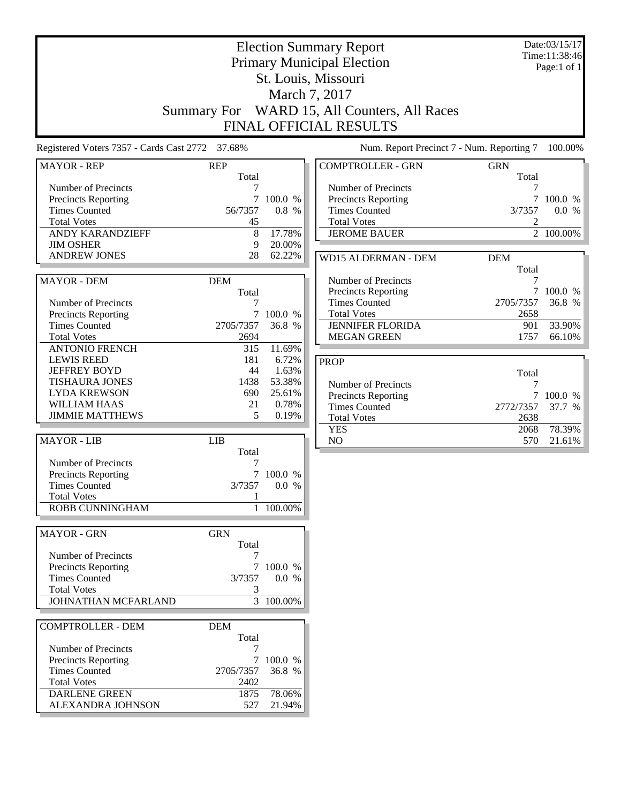|                                                 | <b>Election Summary Report</b><br><b>Primary Municipal Election</b> |                |                                                                   |                     | Date:03/15/17<br>Time:11:38:46<br>Page:1 of 1 |
|-------------------------------------------------|---------------------------------------------------------------------|----------------|-------------------------------------------------------------------|---------------------|-----------------------------------------------|
|                                                 |                                                                     |                | St. Louis, Missouri                                               |                     |                                               |
|                                                 |                                                                     |                | March 7, 2017                                                     |                     |                                               |
|                                                 | <b>Summary For</b>                                                  |                | WARD 15, All Counters, All Races<br><b>FINAL OFFICIAL RESULTS</b> |                     |                                               |
| Registered Voters 7357 - Cards Cast 2772 37.68% |                                                                     |                | Num. Report Precinct 7 - Num. Reporting 7                         |                     | 100.00%                                       |
| <b>MAYOR - REP</b>                              | <b>REP</b><br>Total                                                 |                | <b>COMPTROLLER - GRN</b>                                          | <b>GRN</b><br>Total |                                               |
| Number of Precincts                             |                                                                     |                | Number of Precincts                                               |                     |                                               |
| Precincts Reporting                             | 7                                                                   | 100.0 %        | Precincts Reporting                                               | $\overline{7}$      | 100.0 %                                       |
| <b>Times Counted</b>                            | 56/7357                                                             | 0.8 %          | <b>Times Counted</b>                                              | 3/7357              | 0.0 %                                         |
| <b>Total Votes</b><br>ANDY KARANDZIEFF          | 45<br>8                                                             | 17.78%         | <b>Total Votes</b><br><b>JEROME BAUER</b>                         | 2                   | 2 100.00%                                     |
| <b>JIM OSHER</b>                                | 9                                                                   | 20.00%         |                                                                   |                     |                                               |
| <b>ANDREW JONES</b>                             | 28                                                                  | 62.22%         | <b>WD15 ALDERMAN - DEM</b>                                        | <b>DEM</b>          |                                               |
|                                                 |                                                                     |                |                                                                   | Total               |                                               |
| <b>MAYOR - DEM</b>                              | <b>DEM</b>                                                          |                | Number of Precincts                                               | 7                   |                                               |
|                                                 | Total                                                               |                | Precincts Reporting                                               |                     | 7 100.0 %                                     |
| Number of Precincts                             | 7                                                                   |                | <b>Times Counted</b>                                              | 2705/7357           | 36.8 %                                        |
| Precincts Reporting                             | 7                                                                   | 100.0 %        | <b>Total Votes</b>                                                | 2658                |                                               |
| <b>Times Counted</b>                            | 2705/7357                                                           | 36.8 %         | <b>JENNIFER FLORIDA</b>                                           | 901                 | 33.90%                                        |
| <b>Total Votes</b>                              | 2694                                                                |                | <b>MEGAN GREEN</b>                                                | 1757                | 66.10%                                        |
| <b>ANTONIO FRENCH</b>                           | 315                                                                 | 11.69%         |                                                                   |                     |                                               |
| <b>LEWIS REED</b><br><b>JEFFREY BOYD</b>        | 181<br>44                                                           | 6.72%<br>1.63% | <b>PROP</b>                                                       |                     |                                               |
| <b>TISHAURA JONES</b>                           | 1438                                                                | 53.38%         |                                                                   | Total               |                                               |
| <b>LYDA KREWSON</b>                             | 690                                                                 | 25.61%         | Number of Precincts                                               | 7                   |                                               |
| <b>WILLIAM HAAS</b>                             | 21                                                                  | 0.78%          | Precincts Reporting<br><b>Times Counted</b>                       | $\tau$<br>2772/7357 | 100.0 %<br>37.7 %                             |
| <b>JIMMIE MATTHEWS</b>                          | 5                                                                   | 0.19%          | <b>Total Votes</b>                                                | 2638                |                                               |
|                                                 |                                                                     |                | <b>YES</b>                                                        | 2068                | 78.39%                                        |
| <b>MAYOR - LIB</b>                              | <b>LIB</b><br>Total                                                 |                | N <sub>O</sub>                                                    | 570                 | 21.61%                                        |
| Number of Precincts                             | 7                                                                   |                |                                                                   |                     |                                               |
| Precincts Reporting                             | 7                                                                   | 100.0 %        |                                                                   |                     |                                               |
| <b>Times Counted</b>                            | 3/7357                                                              | 0.0 %          |                                                                   |                     |                                               |
| <b>Total Votes</b>                              | 1                                                                   |                |                                                                   |                     |                                               |
| ROBB CUNNINGHAM                                 |                                                                     | $100.00\%$     |                                                                   |                     |                                               |
| <b>MAYOR - GRN</b>                              | <b>GRN</b><br>Total                                                 |                |                                                                   |                     |                                               |
| Number of Precincts                             | 7                                                                   |                |                                                                   |                     |                                               |
| Precincts Reporting                             |                                                                     | 7 100.0 %      |                                                                   |                     |                                               |
| <b>Times Counted</b>                            | 3/7357                                                              | 0.0 %          |                                                                   |                     |                                               |
| <b>Total Votes</b>                              | 3                                                                   |                |                                                                   |                     |                                               |
| JOHNATHAN MCFARLAND                             |                                                                     | 3 100.00%      |                                                                   |                     |                                               |
| <b>COMPTROLLER - DEM</b>                        | <b>DEM</b><br>Total                                                 |                |                                                                   |                     |                                               |
| Number of Precincts                             | 7                                                                   |                |                                                                   |                     |                                               |
| Precincts Reporting                             |                                                                     | 7 100.0 %      |                                                                   |                     |                                               |
| <b>Times Counted</b>                            | 2705/7357                                                           | 36.8 %         |                                                                   |                     |                                               |
| <b>Total Votes</b>                              | 2402                                                                |                |                                                                   |                     |                                               |
| DARLENE GREEN                                   | 1875                                                                | 78.06%         |                                                                   |                     |                                               |
| ALEXANDRA JOHNSON                               | 527                                                                 | 21.94%         |                                                                   |                     |                                               |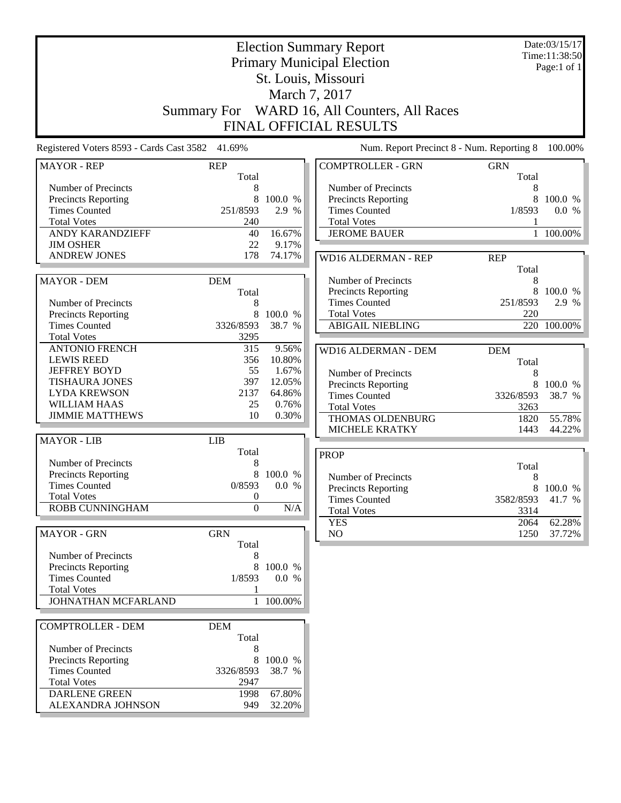| <b>Election Summary Report</b>                  |                     |                 |                                                  |                     | Date:03/15/17<br>Time:11:38:50 |
|-------------------------------------------------|---------------------|-----------------|--------------------------------------------------|---------------------|--------------------------------|
|                                                 |                     |                 | <b>Primary Municipal Election</b>                |                     | Page:1 of $1$                  |
|                                                 |                     |                 | St. Louis, Missouri                              |                     |                                |
|                                                 |                     |                 | March 7, 2017                                    |                     |                                |
|                                                 |                     |                 | WARD 16, All Counters, All Races                 |                     |                                |
|                                                 | <b>Summary For</b>  |                 | FINAL OFFICIAL RESULTS                           |                     |                                |
|                                                 |                     |                 |                                                  |                     |                                |
| Registered Voters 8593 - Cards Cast 3582 41.69% |                     |                 | Num. Report Precinct 8 - Num. Reporting 8        |                     | 100.00%                        |
| <b>MAYOR - REP</b>                              | <b>REP</b><br>Total |                 | <b>COMPTROLLER - GRN</b>                         | <b>GRN</b><br>Total |                                |
| Number of Precincts                             | 8                   |                 | Number of Precincts                              | 8                   |                                |
| Precincts Reporting                             | 8                   | 100.0 %         | Precincts Reporting                              | 8                   | 100.0 %                        |
| <b>Times Counted</b>                            | 251/8593            | 2.9 %           | <b>Times Counted</b>                             | 1/8593              | 0.0 %                          |
| <b>Total Votes</b><br><b>ANDY KARANDZIEFF</b>   | 240<br>40           | 16.67%          | <b>Total Votes</b><br><b>JEROME BAUER</b>        | $\mathbf{1}$        | 100.00%                        |
| <b>JIM OSHER</b>                                | 22                  | 9.17%           |                                                  |                     |                                |
| <b>ANDREW JONES</b>                             | 178                 | 74.17%          | <b>WD16 ALDERMAN - REP</b>                       | <b>REP</b>          |                                |
|                                                 |                     |                 |                                                  | Total               |                                |
| <b>MAYOR - DEM</b>                              | <b>DEM</b>          |                 | Number of Precincts                              | 8                   |                                |
|                                                 | Total               |                 | Precincts Reporting                              | 8                   | 100.0 %                        |
| Number of Precincts                             | 8                   |                 | <b>Times Counted</b>                             | 251/8593            | 2.9 %                          |
| Precincts Reporting                             | 8                   | 100.0 %         | <b>Total Votes</b>                               | 220                 |                                |
| <b>Times Counted</b>                            | 3326/8593           | 38.7 %          | <b>ABIGAIL NIEBLING</b>                          |                     | $220^-$ 100.00%                |
| <b>Total Votes</b>                              | 3295                |                 |                                                  |                     |                                |
| <b>ANTONIO FRENCH</b>                           | 315                 | 9.56%           | <b>WD16 ALDERMAN - DEM</b>                       | <b>DEM</b>          |                                |
| <b>LEWIS REED</b>                               | 356                 | 10.80%          |                                                  | Total               |                                |
| <b>JEFFREY BOYD</b>                             | 55                  | 1.67%           | Number of Precincts                              | 8                   |                                |
| <b>TISHAURA JONES</b>                           | 397                 | 12.05%          | Precincts Reporting                              | 8                   | 100.0 %                        |
| <b>LYDA KREWSON</b><br>WILLIAM HAAS             | 2137<br>25          | 64.86%<br>0.76% | <b>Times Counted</b>                             | 3326/8593           | 38.7 %                         |
| <b>JIMMIE MATTHEWS</b>                          | 10                  | 0.30%           | <b>Total Votes</b>                               | 3263                |                                |
|                                                 |                     |                 | <b>THOMAS OLDENBURG</b><br><b>MICHELE KRATKY</b> | 1820<br>1443        | 55.78%<br>44.22%               |
| <b>MAYOR - LIB</b>                              | <b>LIB</b>          |                 |                                                  |                     |                                |
|                                                 | Total               |                 | <b>PROP</b>                                      |                     |                                |
| Number of Precincts                             | 8                   |                 |                                                  | Total               |                                |
| Precincts Reporting                             | 8                   | 100.0 %         | Number of Precincts                              | 8                   |                                |
| <b>Times Counted</b>                            | 0/8593              | 0.0 %           | <b>Precincts Reporting</b>                       |                     | 8 100.0 %                      |
| <b>Total Votes</b>                              | $\boldsymbol{0}$    |                 | <b>Times Counted</b>                             | 3582/8593           | 41.7 %                         |
| ROBB CUNNINGHAM                                 | $\overline{0}$      | $\rm N/A$       | <b>Total Votes</b>                               | 3314                |                                |
|                                                 |                     |                 | <b>YES</b>                                       | 2064                | 62.28%                         |
| <b>MAYOR - GRN</b>                              | <b>GRN</b><br>Total |                 | NO.                                              | 1250                | 37.72%                         |
| Number of Precincts                             | 8                   |                 |                                                  |                     |                                |
| Precincts Reporting                             | 8                   | 100.0 %         |                                                  |                     |                                |
| <b>Times Counted</b>                            | 1/8593              | 0.0 %           |                                                  |                     |                                |
| <b>Total Votes</b>                              | 1                   |                 |                                                  |                     |                                |
| JOHNATHAN MCFARLAND                             | $\mathbf{1}$        | 100.00%         |                                                  |                     |                                |
| <b>COMPTROLLER - DEM</b>                        | <b>DEM</b>          |                 |                                                  |                     |                                |
|                                                 | Total               |                 |                                                  |                     |                                |
| Number of Precincts                             | 8                   |                 |                                                  |                     |                                |
| <b>Precincts Reporting</b>                      | 8                   | 100.0 %         |                                                  |                     |                                |
| <b>Times Counted</b>                            | 3326/8593           | 38.7 %          |                                                  |                     |                                |
| <b>Total Votes</b>                              | 2947                |                 |                                                  |                     |                                |
| <b>DARLENE GREEN</b>                            | 1998                | 67.80%          |                                                  |                     |                                |
| ALEXANDRA JOHNSON                               | 949                 | 32.20%          |                                                  |                     |                                |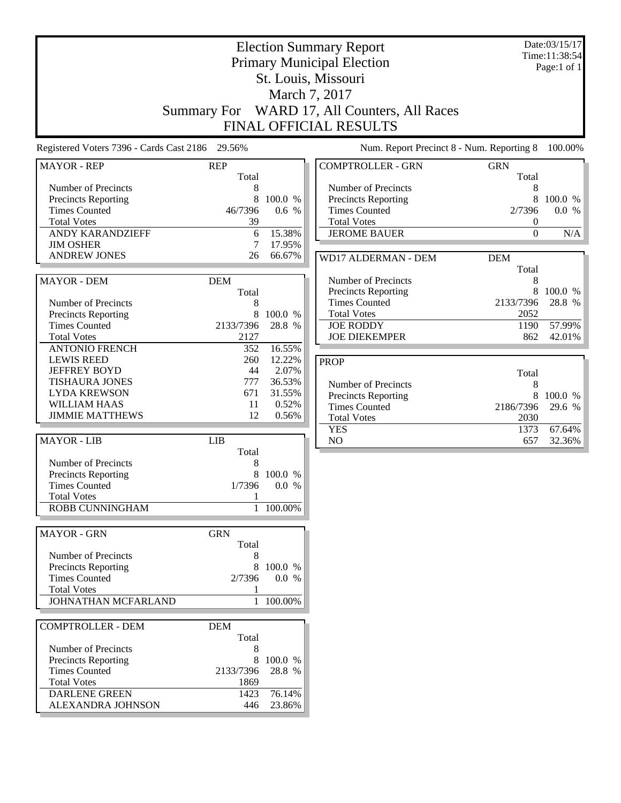|                                                                                                                                                                   | <b>Election Summary Report</b><br><b>Primary Municipal Election</b><br>St. Louis, Missouri<br>March 7, 2017 |                                                       |                                                                                                                                                                           |                                                                   | Date:03/15/17<br>Time:11:38:54<br>Page:1 of 1 |
|-------------------------------------------------------------------------------------------------------------------------------------------------------------------|-------------------------------------------------------------------------------------------------------------|-------------------------------------------------------|---------------------------------------------------------------------------------------------------------------------------------------------------------------------------|-------------------------------------------------------------------|-----------------------------------------------|
|                                                                                                                                                                   |                                                                                                             |                                                       | Summary For WARD 17, All Counters, All Races<br><b>FINAL OFFICIAL RESULTS</b>                                                                                             |                                                                   |                                               |
| Registered Voters 7396 - Cards Cast 2186                                                                                                                          | 29.56%                                                                                                      |                                                       | Num. Report Precinct 8 - Num. Reporting 8                                                                                                                                 |                                                                   | 100.00%                                       |
| <b>MAYOR - REP</b>                                                                                                                                                | <b>REP</b><br>Total                                                                                         |                                                       | <b>COMPTROLLER - GRN</b>                                                                                                                                                  | <b>GRN</b><br>Total                                               |                                               |
| Number of Precincts<br>Precincts Reporting<br><b>Times Counted</b><br><b>Total Votes</b><br><b>ANDY KARANDZIEFF</b>                                               | 8<br>8<br>46/7396<br>39<br>6                                                                                | 100.0 %<br>0.6 %<br>15.38%                            | Number of Precincts<br><b>Precincts Reporting</b><br><b>Times Counted</b><br><b>Total Votes</b><br><b>JEROME BAUER</b>                                                    | 8<br>8<br>2/7396<br>$\boldsymbol{0}$<br>$\boldsymbol{0}$          | 100.0 %<br>0.0 %<br>N/A                       |
| <b>JIM OSHER</b><br><b>ANDREW JONES</b>                                                                                                                           | 7<br>26                                                                                                     | 17.95%<br>66.67%                                      |                                                                                                                                                                           |                                                                   |                                               |
| <b>MAYOR - DEM</b><br>Number of Precincts<br>Precincts Reporting<br><b>Times Counted</b><br><b>Total Votes</b>                                                    | <b>DEM</b><br>Total<br>8<br>8<br>2133/7396<br>2127                                                          | 100.0 %<br>28.8 %                                     | <b>WD17 ALDERMAN - DEM</b><br>Number of Precincts<br><b>Precincts Reporting</b><br><b>Times Counted</b><br><b>Total Votes</b><br><b>JOE RODDY</b><br><b>JOE DIEKEMPER</b> | <b>DEM</b><br>Total<br>8<br>8<br>2133/7396<br>2052<br>1190<br>862 | 100.0 %<br>28.8 %<br>57.99%<br>42.01%         |
| <b>ANTONIO FRENCH</b>                                                                                                                                             | 352                                                                                                         | 16.55%                                                |                                                                                                                                                                           |                                                                   |                                               |
| <b>LEWIS REED</b><br><b>JEFFREY BOYD</b><br><b>TISHAURA JONES</b><br><b>LYDA KREWSON</b><br><b>WILLIAM HAAS</b><br><b>JIMMIE MATTHEWS</b>                         | 260<br>44<br>777<br>671<br>11<br>12                                                                         | 12.22%<br>2.07%<br>36.53%<br>31.55%<br>0.52%<br>0.56% | <b>PROP</b><br>Number of Precincts<br>Precincts Reporting<br><b>Times Counted</b><br><b>Total Votes</b><br><b>YES</b>                                                     | Total<br>8<br>8<br>2186/7396<br>2030<br>1373                      | 100.0 %<br>29.6 %<br>67.64%                   |
| <b>MAYOR - LIB</b>                                                                                                                                                | <b>LIB</b>                                                                                                  |                                                       | N <sub>O</sub>                                                                                                                                                            | 657                                                               | 32.36%                                        |
| Number of Precincts<br><b>Precincts Reporting</b><br><b>Times Counted</b><br><b>Total Votes</b><br>ROBB CUNNINGHAM                                                | Total<br>8<br>8<br>1/7396<br>1                                                                              | 100.0 %<br>0.0 %<br>1 100.00%                         |                                                                                                                                                                           |                                                                   |                                               |
| <b>MAYOR - GRN</b>                                                                                                                                                | <b>GRN</b>                                                                                                  |                                                       |                                                                                                                                                                           |                                                                   |                                               |
| Number of Precincts<br>Precincts Reporting<br><b>Times Counted</b><br><b>Total Votes</b><br>JOHNATHAN MCFARLAND                                                   | Total<br>8<br>8<br>2/7396<br>1                                                                              | 100.0 %<br>0.0 %<br>1 100.00%                         |                                                                                                                                                                           |                                                                   |                                               |
| <b>COMPTROLLER - DEM</b><br>Number of Precincts<br>Precincts Reporting<br><b>Times Counted</b><br><b>Total Votes</b><br><b>DARLENE GREEN</b><br>ALEXANDRA JOHNSON | <b>DEM</b><br>Total<br>8<br>8<br>2133/7396<br>1869<br>1423<br>446                                           | 100.0 %<br>28.8 %<br>76.14%<br>23.86%                 |                                                                                                                                                                           |                                                                   |                                               |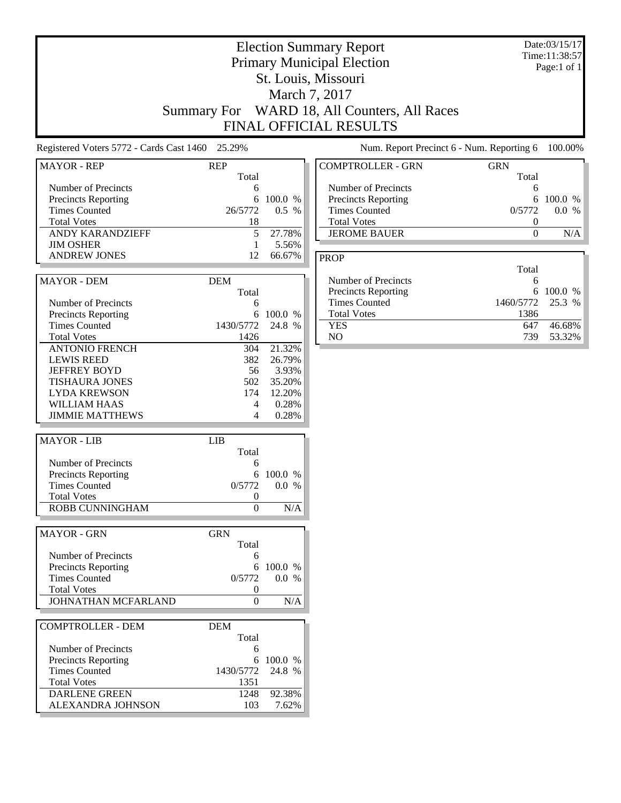|                                                                                                                                                             |                                                       |                                                                 | <b>Election Summary Report</b><br><b>Primary Municipal Election</b><br>St. Louis, Missouri<br>March 7, 2017<br>Summary For WARD 18, All Counters, All Races<br>FINAL OFFICIAL RESULTS |                                                    | Date:03/15/17<br>Time:11:38:57<br>Page:1 of 1 |
|-------------------------------------------------------------------------------------------------------------------------------------------------------------|-------------------------------------------------------|-----------------------------------------------------------------|---------------------------------------------------------------------------------------------------------------------------------------------------------------------------------------|----------------------------------------------------|-----------------------------------------------|
| Registered Voters 5772 - Cards Cast 1460 25.29%                                                                                                             |                                                       |                                                                 | Num. Report Precinct 6 - Num. Reporting 6                                                                                                                                             |                                                    | 100.00%                                       |
| <b>MAYOR - REP</b>                                                                                                                                          | <b>REP</b>                                            |                                                                 | <b>COMPTROLLER - GRN</b>                                                                                                                                                              | <b>GRN</b>                                         |                                               |
| Number of Precincts<br>Precincts Reporting<br><b>Times Counted</b><br><b>Total Votes</b><br>ANDY KARANDZIEFF<br><b>JIM OSHER</b>                            | Total<br>6<br>6<br>26/5772<br>18<br>5<br>$\mathbf{1}$ | 100.0 %<br>0.5 %<br>27.78%<br>5.56%                             | Number of Precincts<br><b>Precincts Reporting</b><br><b>Times Counted</b><br><b>Total Votes</b><br><b>JEROME BAUER</b>                                                                | Total<br>6<br>6<br>0/5772<br>0<br>$\boldsymbol{0}$ | 100.0 %<br>0.0 %<br>N/A                       |
| <b>ANDREW JONES</b>                                                                                                                                         | 12                                                    | 66.67%                                                          | <b>PROP</b>                                                                                                                                                                           |                                                    |                                               |
| <b>MAYOR - DEM</b><br>Number of Precincts<br>Precincts Reporting                                                                                            | <b>DEM</b><br>Total<br>6<br>6                         | 100.0 %                                                         | Number of Precincts<br><b>Precincts Reporting</b><br><b>Times Counted</b><br><b>Total Votes</b>                                                                                       | Total<br>6<br>6<br>1460/5772<br>1386               | 100.0 %<br>25.3 %                             |
| <b>Times Counted</b><br><b>Total Votes</b>                                                                                                                  | 1430/5772<br>1426                                     | 24.8 %                                                          | <b>YES</b><br>NO                                                                                                                                                                      | 647<br>739                                         | 46.68%<br>53.32%                              |
| <b>ANTONIO FRENCH</b><br><b>LEWIS REED</b><br><b>JEFFREY BOYD</b><br><b>TISHAURA JONES</b><br><b>LYDA KREWSON</b><br>WILLIAM HAAS<br><b>JIMMIE MATTHEWS</b> | 304<br>382<br>56<br>502<br>174<br>4<br>4              | 21.32%<br>26.79%<br>3.93%<br>35.20%<br>12.20%<br>0.28%<br>0.28% |                                                                                                                                                                                       |                                                    |                                               |
| <b>MAYOR - LIB</b>                                                                                                                                          | LIB                                                   |                                                                 |                                                                                                                                                                                       |                                                    |                                               |
| Number of Precincts<br><b>Precincts Reporting</b><br><b>Times Counted</b><br><b>Total Votes</b><br>ROBB CUNNINGHAM                                          | Total<br>6<br>6<br>0/5772<br>$\theta$<br>$\Omega$     | 100.0 %<br>0.0 %<br>N/A                                         |                                                                                                                                                                                       |                                                    |                                               |
| <b>MAYOR - GRN</b>                                                                                                                                          | <b>GRN</b>                                            |                                                                 |                                                                                                                                                                                       |                                                    |                                               |
| Number of Precincts<br>Precincts Reporting<br><b>Times Counted</b><br><b>Total Votes</b><br>JOHNATHAN MCFARLAND                                             | Total<br>6<br>6<br>0/5772<br>0<br>$\mathbf{0}$        | 100.0 %<br>0.0 %<br>N/A                                         |                                                                                                                                                                                       |                                                    |                                               |
| <b>COMPTROLLER - DEM</b>                                                                                                                                    | <b>DEM</b>                                            |                                                                 |                                                                                                                                                                                       |                                                    |                                               |
| Number of Precincts<br>Precincts Reporting<br><b>Times Counted</b><br><b>Total Votes</b><br><b>DARLENE GREEN</b><br>ALEXANDRA JOHNSON                       | Total<br>6<br>1430/5772<br>1351<br>1248<br>103        | 6 100.0 %<br>24.8 %<br>92.38%<br>7.62%                          |                                                                                                                                                                                       |                                                    |                                               |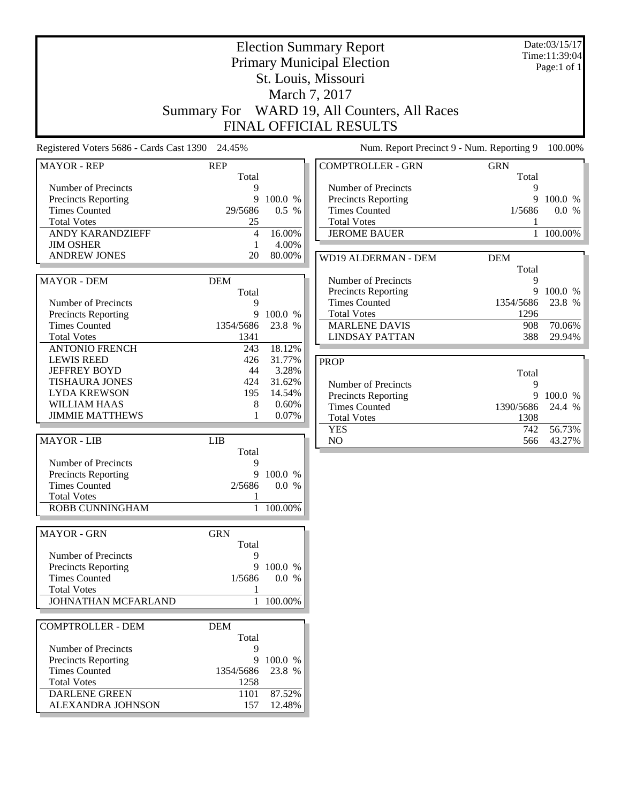|                                                 |                     |                 | <b>Election Summary Report</b><br><b>Primary Municipal Election</b><br>St. Louis, Missouri |                     |                   |
|-------------------------------------------------|---------------------|-----------------|--------------------------------------------------------------------------------------------|---------------------|-------------------|
|                                                 |                     |                 | March 7, 2017                                                                              |                     |                   |
|                                                 |                     |                 | Summary For WARD 19, All Counters, All Races                                               |                     |                   |
|                                                 |                     |                 | <b>FINAL OFFICIAL RESULTS</b>                                                              |                     |                   |
|                                                 |                     |                 |                                                                                            |                     |                   |
| Registered Voters 5686 - Cards Cast 1390 24.45% |                     |                 | Num. Report Precinct 9 - Num. Reporting 9                                                  |                     | 100.00%           |
| <b>MAYOR - REP</b>                              | <b>REP</b><br>Total |                 | <b>COMPTROLLER - GRN</b>                                                                   | <b>GRN</b><br>Total |                   |
| Number of Precincts                             | 9                   |                 | Number of Precincts                                                                        | 9                   |                   |
| Precincts Reporting                             | 9                   | 100.0 %         | Precincts Reporting                                                                        | 9                   | 100.0 %           |
| <b>Times Counted</b>                            | 29/5686             | 0.5 %           | <b>Times Counted</b>                                                                       | 1/5686              | 0.0 %             |
| <b>Total Votes</b><br><b>ANDY KARANDZIEFF</b>   | 25                  |                 | <b>Total Votes</b><br><b>JEROME BAUER</b>                                                  | $\mathbf{1}$        | 100.00%           |
| <b>JIM OSHER</b>                                | $\overline{4}$<br>1 | 16.00%<br>4.00% |                                                                                            |                     |                   |
| <b>ANDREW JONES</b>                             | 20                  | 80.00%          | <b>WD19 ALDERMAN - DEM</b>                                                                 | <b>DEM</b>          |                   |
|                                                 |                     |                 |                                                                                            | Total               |                   |
| MAYOR - DEM                                     | <b>DEM</b>          |                 | Number of Precincts                                                                        | 9                   |                   |
|                                                 | Total               |                 | Precincts Reporting                                                                        |                     | 9 100.0 %         |
| Number of Precincts                             | 9                   |                 | <b>Times Counted</b>                                                                       | 1354/5686           | 23.8 %            |
| <b>Precincts Reporting</b>                      | 9                   | 100.0 %         | <b>Total Votes</b>                                                                         | 1296                |                   |
| <b>Times Counted</b>                            | 1354/5686           | 23.8 %          | <b>MARLENE DAVIS</b>                                                                       | 908                 | 70.06%            |
| <b>Total Votes</b>                              | 1341                |                 | <b>LINDSAY PATTAN</b>                                                                      | 388                 | 29.94%            |
| <b>ANTONIO FRENCH</b>                           | 243                 | 18.12%          |                                                                                            |                     |                   |
| <b>LEWIS REED</b><br><b>JEFFREY BOYD</b>        | 426<br>44           | 31.77%<br>3.28% | <b>PROP</b>                                                                                |                     |                   |
| <b>TISHAURA JONES</b>                           | 424                 | 31.62%          |                                                                                            | Total               |                   |
| <b>LYDA KREWSON</b>                             | 195                 | 14.54%          | Number of Precincts                                                                        | 9<br>9              |                   |
| <b>WILLIAM HAAS</b>                             | 8                   | 0.60%           | Precincts Reporting<br><b>Times Counted</b>                                                | 1390/5686           | 100.0 %<br>24.4 % |
| <b>JIMMIE MATTHEWS</b>                          | 1                   | 0.07%           | <b>Total Votes</b>                                                                         | 1308                |                   |
|                                                 |                     |                 | <b>YES</b>                                                                                 | 742                 | 56.73%            |
| <b>MAYOR - LIB</b>                              | <b>LIB</b>          |                 | NO                                                                                         | 566                 | 43.27%            |
|                                                 | Total               |                 |                                                                                            |                     |                   |
| Number of Precincts<br>Precincts Reporting      | 9<br>9              | 100.0 %         |                                                                                            |                     |                   |
| <b>Times Counted</b>                            | 2/5686              | 0.0 %           |                                                                                            |                     |                   |
| <b>Total Votes</b>                              | 1                   |                 |                                                                                            |                     |                   |
| <b>ROBB CUNNINGHAM</b>                          | 1                   | 100.00%         |                                                                                            |                     |                   |
|                                                 |                     |                 |                                                                                            |                     |                   |
| MAYOR - GRN                                     | <b>GRN</b><br>Total |                 |                                                                                            |                     |                   |
| Number of Precincts                             | 9                   |                 |                                                                                            |                     |                   |
| <b>Precincts Reporting</b>                      | 9                   | 100.0 %         |                                                                                            |                     |                   |
| <b>Times Counted</b>                            | 1/5686              | 0.0 %           |                                                                                            |                     |                   |
| <b>Total Votes</b>                              | 1                   |                 |                                                                                            |                     |                   |
| JOHNATHAN MCFARLAND                             |                     | 1 100.00%       |                                                                                            |                     |                   |
| <b>COMPTROLLER - DEM</b>                        | <b>DEM</b>          |                 |                                                                                            |                     |                   |
|                                                 | Total               |                 |                                                                                            |                     |                   |
| Number of Precincts                             | 9                   |                 |                                                                                            |                     |                   |
| Precincts Reporting                             | 9                   | 100.0 %         |                                                                                            |                     |                   |
| <b>Times Counted</b>                            | 1354/5686           | 23.8 %          |                                                                                            |                     |                   |
| <b>Total Votes</b>                              | 1258                |                 |                                                                                            |                     |                   |
| <b>DARLENE GREEN</b>                            | 1101                | 87.52%          |                                                                                            |                     |                   |
| ALEXANDRA JOHNSON                               | 157                 | 12.48%          |                                                                                            |                     |                   |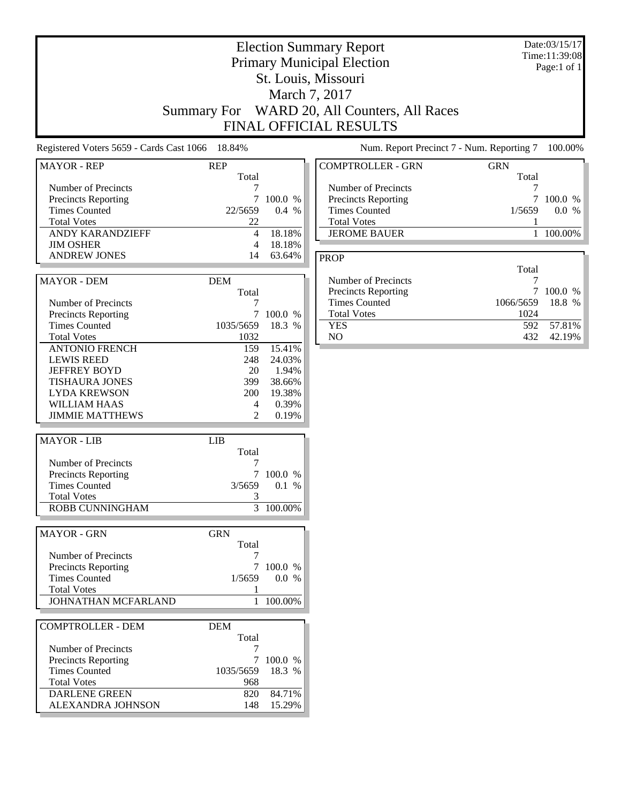|                                                                                                                                                         |                                                          |                                                                 | <b>Election Summary Report</b><br><b>Primary Municipal Election</b><br>St. Louis, Missouri<br>March 7, 2017<br>Summary For WARD 20, All Counters, All Races<br>FINAL OFFICIAL RESULTS |                                | Date:03/15/17<br>Time:11:39:08<br>Page:1 of $1$ |
|---------------------------------------------------------------------------------------------------------------------------------------------------------|----------------------------------------------------------|-----------------------------------------------------------------|---------------------------------------------------------------------------------------------------------------------------------------------------------------------------------------|--------------------------------|-------------------------------------------------|
| Registered Voters 5659 - Cards Cast 1066 18.84%                                                                                                         |                                                          |                                                                 | Num. Report Precinct 7 - Num. Reporting 7                                                                                                                                             |                                | 100.00%                                         |
| <b>MAYOR - REP</b>                                                                                                                                      | <b>REP</b>                                               |                                                                 | <b>COMPTROLLER - GRN</b>                                                                                                                                                              | <b>GRN</b>                     |                                                 |
| Number of Precincts<br>Precincts Reporting<br><b>Times Counted</b><br><b>Total Votes</b><br>ANDY KARANDZIEFF<br><b>JIM OSHER</b><br><b>ANDREW JONES</b> | Total<br>7<br>22/5659<br>22<br>$\overline{4}$<br>4<br>14 | 7 100.0 %<br>0.4 %<br>18.18%<br>18.18%<br>63.64%                | Number of Precincts<br>Precincts Reporting<br><b>Times Counted</b><br><b>Total Votes</b><br><b>JEROME BAUER</b>                                                                       | Total<br>7<br>7<br>1/5659<br>1 | 100.0 %<br>0.0 %<br>$100.00\%$                  |
|                                                                                                                                                         |                                                          |                                                                 | <b>PROP</b>                                                                                                                                                                           | Total                          |                                                 |
| <b>MAYOR - DEM</b><br>Number of Precincts                                                                                                               | <b>DEM</b><br>Total                                      |                                                                 | Number of Precincts<br>Precincts Reporting<br><b>Times Counted</b>                                                                                                                    | 7<br>7<br>1066/5659            | 100.0 %<br>18.8 %                               |
| <b>Precincts Reporting</b><br><b>Times Counted</b><br><b>Total Votes</b>                                                                                | 1035/5659<br>1032                                        | 100.0 %<br>18.3 %                                               | <b>Total Votes</b><br><b>YES</b><br>NO                                                                                                                                                | 1024<br>592<br>432             | 57.81%<br>42.19%                                |
| <b>ANTONIO FRENCH</b><br><b>LEWIS REED</b><br><b>JEFFREY BOYD</b><br>TISHAURA JONES<br><b>LYDA KREWSON</b><br>WILLIAM HAAS<br><b>JIMMIE MATTHEWS</b>    | 159<br>248<br>20<br>399<br>200<br>4<br>$\overline{2}$    | 15.41%<br>24.03%<br>1.94%<br>38.66%<br>19.38%<br>0.39%<br>0.19% |                                                                                                                                                                                       |                                |                                                 |
|                                                                                                                                                         |                                                          |                                                                 |                                                                                                                                                                                       |                                |                                                 |
| <b>MAYOR</b> - LIB<br>Number of Precincts<br>Precincts Reporting<br><b>Times Counted</b><br><b>Total Votes</b><br>ROBB CUNNINGHAM                       | <b>LIB</b><br>Total                                      | 7 100.0 %<br>3/5659 0.1 %<br>3 100.00%                          |                                                                                                                                                                                       |                                |                                                 |
| <b>MAYOR - GRN</b>                                                                                                                                      | <b>GRN</b>                                               |                                                                 |                                                                                                                                                                                       |                                |                                                 |
| Number of Precincts<br>Precincts Reporting<br><b>Times Counted</b><br><b>Total Votes</b><br>JOHNATHAN MCFARLAND                                         | Total<br>1/5659<br>1                                     | 7 100.0 %<br>0.0 %<br>100.00%                                   |                                                                                                                                                                                       |                                |                                                 |
| <b>COMPTROLLER - DEM</b>                                                                                                                                | <b>DEM</b>                                               |                                                                 |                                                                                                                                                                                       |                                |                                                 |
| Number of Precincts<br>Precincts Reporting<br><b>Times Counted</b><br><b>Total Votes</b><br><b>DARLENE GREEN</b><br>ALEXANDRA JOHNSON                   | Total<br>1035/5659<br>968<br>820<br>148                  | 7 100.0 %<br>18.3 %<br>84.71%<br>15.29%                         |                                                                                                                                                                                       |                                |                                                 |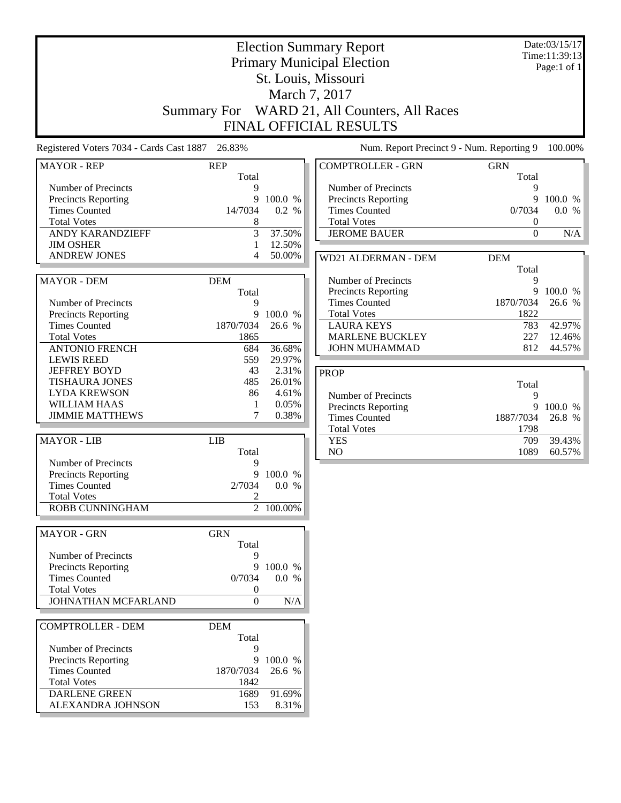|                                                                                                                                                                       |                                                                   |                                                      | <b>Election Summary Report</b><br><b>Primary Municipal Election</b><br>St. Louis, Missouri<br>March 7, 2017<br>Summary For WARD 21, All Counters, All Races<br><b>FINAL OFFICIAL RESULTS</b> |                                                               | Date:03/15/17<br>Time:11:39:13<br>Page:1 of 1 |
|-----------------------------------------------------------------------------------------------------------------------------------------------------------------------|-------------------------------------------------------------------|------------------------------------------------------|----------------------------------------------------------------------------------------------------------------------------------------------------------------------------------------------|---------------------------------------------------------------|-----------------------------------------------|
| Registered Voters 7034 - Cards Cast 1887                                                                                                                              | 26.83%                                                            |                                                      | Num. Report Precinct 9 - Num. Reporting 9                                                                                                                                                    |                                                               | 100.00%                                       |
| <b>MAYOR - REP</b>                                                                                                                                                    | <b>REP</b>                                                        |                                                      | <b>COMPTROLLER - GRN</b>                                                                                                                                                                     | <b>GRN</b>                                                    |                                               |
| Number of Precincts<br><b>Precincts Reporting</b><br><b>Times Counted</b><br><b>Total Votes</b><br><b>ANDY KARANDZIEFF</b><br><b>JIM OSHER</b><br><b>ANDREW JONES</b> | Total<br>9<br>9<br>14/7034<br>8<br>3<br>1                         | 100.0 %<br>0.2 %<br>37.50%<br>12.50%<br>50.00%       | Number of Precincts<br>Precincts Reporting<br><b>Times Counted</b><br><b>Total Votes</b><br><b>JEROME BAUER</b>                                                                              | Total<br>9<br>9<br>0/7034<br>$\boldsymbol{0}$<br>$\mathbf{0}$ | 100.0 %<br>0.0 %<br>N/A                       |
|                                                                                                                                                                       |                                                                   |                                                      | WD21 ALDERMAN - DEM                                                                                                                                                                          | <b>DEM</b><br>Total                                           |                                               |
| <b>MAYOR - DEM</b><br>Number of Precincts<br><b>Precincts Reporting</b>                                                                                               | <b>DEM</b><br>Total<br>9<br>9                                     | 100.0 %                                              | Number of Precincts<br>Precincts Reporting<br><b>Times Counted</b><br><b>Total Votes</b>                                                                                                     | 9<br>9<br>1870/7034<br>1822                                   | 100.0 %<br>26.6 %                             |
| <b>Times Counted</b><br><b>Total Votes</b><br><b>ANTONIO FRENCH</b>                                                                                                   | 1870/7034<br>1865<br>684                                          | 26.6 %<br>36.68%                                     | LAURA KEYS<br><b>MARLENE BUCKLEY</b><br><b>JOHN MUHAMMAD</b>                                                                                                                                 | 783<br>227<br>812                                             | 42.97%<br>12.46%<br>44.57%                    |
| <b>LEWIS REED</b><br><b>JEFFREY BOYD</b><br><b>TISHAURA JONES</b><br><b>LYDA KREWSON</b><br><b>WILLIAM HAAS</b><br><b>JIMMIE MATTHEWS</b>                             | 559<br>43<br>485<br>86<br>1<br>7                                  | 29.97%<br>2.31%<br>26.01%<br>4.61%<br>0.05%<br>0.38% | <b>PROP</b><br>Number of Precincts<br>Precincts Reporting<br><b>Times Counted</b>                                                                                                            | Total<br>9<br>9<br>1887/7034                                  | 100.0 %<br>26.8 %                             |
| <b>MAYOR - LIB</b>                                                                                                                                                    | <b>LIB</b><br>Total                                               |                                                      | <b>Total Votes</b><br><b>YES</b><br>NO                                                                                                                                                       | 1798<br>709<br>1089                                           | 39.43%<br>60.57%                              |
| Number of Precincts<br><b>Precincts Reporting</b><br><b>Times Counted</b><br><b>Total Votes</b><br>ROBB CUNNINGHAM                                                    | 9<br>9<br>2/7034<br>2                                             | 100.0 %<br>0.0 %<br>2 100.00%                        |                                                                                                                                                                                              |                                                               |                                               |
| <b>MAYOR - GRN</b>                                                                                                                                                    | <b>GRN</b>                                                        |                                                      |                                                                                                                                                                                              |                                                               |                                               |
| Number of Precincts<br><b>Precincts Reporting</b><br><b>Times Counted</b><br><b>Total Votes</b><br>JOHNATHAN MCFARLAND                                                | Total<br>9<br>9<br>0/7034<br>$\boldsymbol{0}$<br>$\boldsymbol{0}$ | 100.0 %<br>0.0 %<br>$\rm N/A$                        |                                                                                                                                                                                              |                                                               |                                               |
| <b>COMPTROLLER - DEM</b>                                                                                                                                              | <b>DEM</b><br>Total                                               |                                                      |                                                                                                                                                                                              |                                                               |                                               |
| Number of Precincts<br><b>Precincts Reporting</b><br><b>Times Counted</b><br><b>Total Votes</b><br><b>DARLENE GREEN</b>                                               | 9<br>9<br>1870/7034<br>1842<br>1689                               | 100.0 %<br>26.6 %<br>91.69%                          |                                                                                                                                                                                              |                                                               |                                               |
| ALEXANDRA JOHNSON                                                                                                                                                     | 153                                                               | 8.31%                                                |                                                                                                                                                                                              |                                                               |                                               |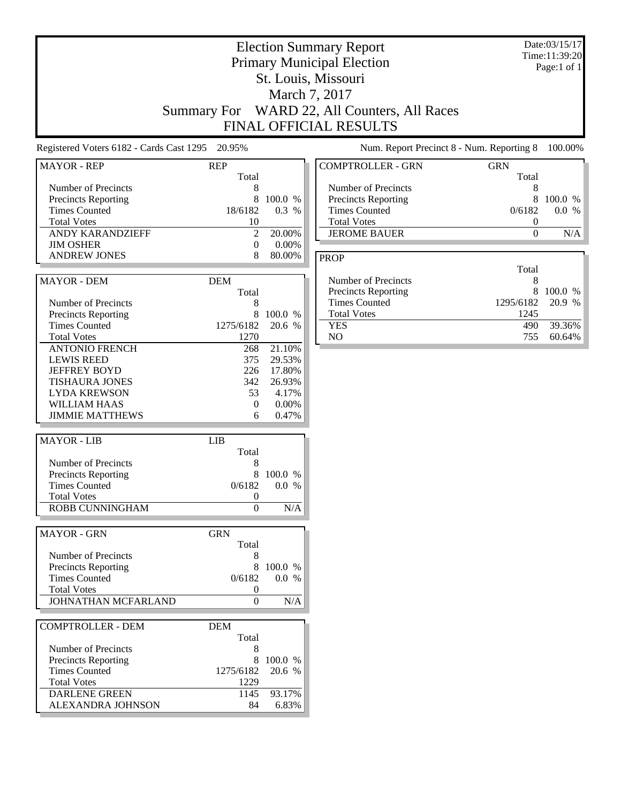| Registered Voters 6182 - Cards Cast 1295 20.95%<br>Num. Report Precinct 8 - Num. Reporting 8<br><b>MAYOR - REP</b><br><b>REP</b><br><b>COMPTROLLER - GRN</b><br>Total<br>Number of Precincts<br>Number of Precincts<br>8<br>Precincts Reporting<br>8<br>100.0 %<br><b>Precincts Reporting</b><br>18/6182<br>0.3 %<br><b>Times Counted</b><br><b>Times Counted</b><br><b>Total Votes</b><br><b>Total Votes</b><br>10<br><b>ANDY KARANDZIEFF</b><br>$\mathfrak{2}$<br>20.00%<br><b>JEROME BAUER</b><br><b>JIM OSHER</b><br>0.00%<br>$\boldsymbol{0}$<br><b>ANDREW JONES</b><br>8<br>80.00%<br><b>PROP</b><br>Number of Precincts<br><b>MAYOR - DEM</b><br><b>DEM</b><br>Total<br><b>Precincts Reporting</b><br><b>Times Counted</b><br>Number of Precincts<br>8<br><b>Total Votes</b><br>8<br>100.0 %<br><b>Precincts Reporting</b><br><b>Times Counted</b><br>1275/6182<br>20.6 %<br><b>YES</b><br>NO.<br><b>Total Votes</b><br>1270<br><b>ANTONIO FRENCH</b><br>21.10%<br>268<br><b>LEWIS REED</b><br>375<br>29.53%<br><b>JEFFREY BOYD</b><br>226<br>17.80%<br><b>TISHAURA JONES</b><br>342<br>26.93%<br>4.17%<br><b>LYDA KREWSON</b><br>53<br>$0.00\%$<br><b>WILLIAM HAAS</b><br>$\theta$<br><b>JIMMIE MATTHEWS</b><br>0.47%<br>6<br><b>MAYOR - LIB</b><br><b>LIB</b><br>Total<br>Number of Precincts<br>8<br>8<br>100.0 %<br>Precincts Reporting<br>0/6182<br><b>Times Counted</b><br>0.0 %<br><b>Total Votes</b><br>0<br>ROBB CUNNINGHAM<br>$\Omega$<br>N/A |                                                    |                         |
|----------------------------------------------------------------------------------------------------------------------------------------------------------------------------------------------------------------------------------------------------------------------------------------------------------------------------------------------------------------------------------------------------------------------------------------------------------------------------------------------------------------------------------------------------------------------------------------------------------------------------------------------------------------------------------------------------------------------------------------------------------------------------------------------------------------------------------------------------------------------------------------------------------------------------------------------------------------------------------------------------------------------------------------------------------------------------------------------------------------------------------------------------------------------------------------------------------------------------------------------------------------------------------------------------------------------------------------------------------------------------------------------------------------------------------------------------------------|----------------------------------------------------|-------------------------|
|                                                                                                                                                                                                                                                                                                                                                                                                                                                                                                                                                                                                                                                                                                                                                                                                                                                                                                                                                                                                                                                                                                                                                                                                                                                                                                                                                                                                                                                                |                                                    | 100.00%                 |
|                                                                                                                                                                                                                                                                                                                                                                                                                                                                                                                                                                                                                                                                                                                                                                                                                                                                                                                                                                                                                                                                                                                                                                                                                                                                                                                                                                                                                                                                | <b>GRN</b>                                         |                         |
|                                                                                                                                                                                                                                                                                                                                                                                                                                                                                                                                                                                                                                                                                                                                                                                                                                                                                                                                                                                                                                                                                                                                                                                                                                                                                                                                                                                                                                                                | Total<br>8<br>8<br>0/6182<br>0<br>$\boldsymbol{0}$ | 100.0 %<br>0.0 %<br>N/A |
|                                                                                                                                                                                                                                                                                                                                                                                                                                                                                                                                                                                                                                                                                                                                                                                                                                                                                                                                                                                                                                                                                                                                                                                                                                                                                                                                                                                                                                                                |                                                    |                         |
|                                                                                                                                                                                                                                                                                                                                                                                                                                                                                                                                                                                                                                                                                                                                                                                                                                                                                                                                                                                                                                                                                                                                                                                                                                                                                                                                                                                                                                                                | Total<br>8<br>8<br>1295/6182<br>1245               | 100.0 %<br>20.9 %       |
|                                                                                                                                                                                                                                                                                                                                                                                                                                                                                                                                                                                                                                                                                                                                                                                                                                                                                                                                                                                                                                                                                                                                                                                                                                                                                                                                                                                                                                                                | 490<br>755                                         | 39.36%<br>60.64%        |
|                                                                                                                                                                                                                                                                                                                                                                                                                                                                                                                                                                                                                                                                                                                                                                                                                                                                                                                                                                                                                                                                                                                                                                                                                                                                                                                                                                                                                                                                |                                                    |                         |
|                                                                                                                                                                                                                                                                                                                                                                                                                                                                                                                                                                                                                                                                                                                                                                                                                                                                                                                                                                                                                                                                                                                                                                                                                                                                                                                                                                                                                                                                |                                                    |                         |
|                                                                                                                                                                                                                                                                                                                                                                                                                                                                                                                                                                                                                                                                                                                                                                                                                                                                                                                                                                                                                                                                                                                                                                                                                                                                                                                                                                                                                                                                |                                                    |                         |
| <b>MAYOR - GRN</b><br><b>GRN</b>                                                                                                                                                                                                                                                                                                                                                                                                                                                                                                                                                                                                                                                                                                                                                                                                                                                                                                                                                                                                                                                                                                                                                                                                                                                                                                                                                                                                                               |                                                    |                         |
| Total<br>Number of Precincts<br>Precincts Reporting<br>8<br>100.0 %<br>0/6182<br><b>Times Counted</b><br>0.0 %<br><b>Total Votes</b><br>0<br>JOHNATHAN MCFARLAND<br>N/A<br>$\mathbf{0}$                                                                                                                                                                                                                                                                                                                                                                                                                                                                                                                                                                                                                                                                                                                                                                                                                                                                                                                                                                                                                                                                                                                                                                                                                                                                        |                                                    |                         |
| <b>COMPTROLLER - DEM</b><br><b>DEM</b>                                                                                                                                                                                                                                                                                                                                                                                                                                                                                                                                                                                                                                                                                                                                                                                                                                                                                                                                                                                                                                                                                                                                                                                                                                                                                                                                                                                                                         |                                                    |                         |
| Total<br>Number of Precincts<br>8<br><b>Precincts Reporting</b><br>8<br>100.0 %<br><b>Times Counted</b><br>20.6 %<br>1275/6182<br><b>Total Votes</b><br>1229<br><b>DARLENE GREEN</b><br>93.17%<br>1145<br>ALEXANDRA JOHNSON<br>6.83%<br>84                                                                                                                                                                                                                                                                                                                                                                                                                                                                                                                                                                                                                                                                                                                                                                                                                                                                                                                                                                                                                                                                                                                                                                                                                     |                                                    |                         |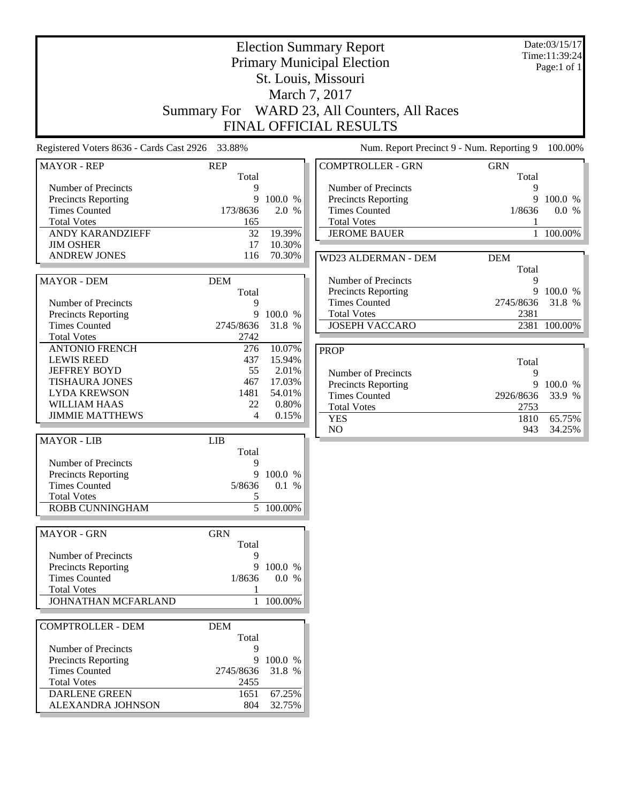| <b>Election Summary Report</b><br><b>Primary Municipal Election</b>                                                            | Date:03/15/17<br>Time:11:39:24<br>Page:1 of $1$ |
|--------------------------------------------------------------------------------------------------------------------------------|-------------------------------------------------|
| St. Louis, Missouri                                                                                                            |                                                 |
| March 7, 2017                                                                                                                  |                                                 |
| Summary For WARD 23, All Counters, All Races                                                                                   |                                                 |
| <b>FINAL OFFICIAL RESULTS</b>                                                                                                  |                                                 |
|                                                                                                                                |                                                 |
| Num. Report Precinct 9 - Num. Reporting 9<br>Registered Voters 8636 - Cards Cast 2926 33.88%                                   | 100.00%                                         |
| <b>COMPTROLLER - GRN</b><br><b>MAYOR - REP</b><br><b>REP</b><br><b>GRN</b><br>Total                                            | Total                                           |
| Number of Precincts<br>Number of Precincts<br>9                                                                                | 9                                               |
| 9<br>100.0 %<br>Precincts Reporting<br><b>Precincts Reporting</b>                                                              | 9<br>100.0 %                                    |
| <b>Times Counted</b><br>173/8636<br>2.0 %<br><b>Times Counted</b><br>1/8636<br><b>Total Votes</b><br>165<br><b>Total Votes</b> | 0.0 %<br>1                                      |
| <b>ANDY KARANDZIEFF</b><br>32<br>19.39%<br><b>JEROME BAUER</b>                                                                 | 100.00%<br>$\mathbf{1}$                         |
| 17<br>10.30%<br><b>JIM OSHER</b>                                                                                               |                                                 |
| <b>ANDREW JONES</b><br>70.30%<br>116<br>WD23 ALDERMAN - DEM<br><b>DEM</b>                                                      |                                                 |
|                                                                                                                                | Total                                           |
| Number of Precincts<br><b>MAYOR - DEM</b><br><b>DEM</b>                                                                        | 9                                               |
| Precincts Reporting<br>Total                                                                                                   | 9<br>100.0 %                                    |
| <b>Times Counted</b><br>2745/8636<br>Number of Precincts<br>9                                                                  | 31.8 %                                          |
| <b>Total Votes</b><br>9<br>100.0 %<br>Precincts Reporting                                                                      | 2381                                            |
| <b>JOSEPH VACCARO</b><br><b>Times Counted</b><br>2745/8636<br>31.8 %                                                           | 2381 100.00%                                    |
| <b>Total Votes</b><br>2742<br>276<br>10.07%                                                                                    |                                                 |
| <b>ANTONIO FRENCH</b><br><b>PROP</b><br><b>LEWIS REED</b><br>437<br>15.94%                                                     |                                                 |
| <b>JEFFREY BOYD</b><br>55<br>2.01%<br>Number of Precincts                                                                      | Total<br>9                                      |
| <b>TISHAURA JONES</b><br>467<br>17.03%<br><b>Precincts Reporting</b>                                                           | 9<br>100.0 %                                    |
| <b>LYDA KREWSON</b><br>1481<br>54.01%<br><b>Times Counted</b><br>2926/8636                                                     | 33.9 %                                          |
| <b>WILLIAM HAAS</b><br>0.80%<br>22<br><b>Total Votes</b>                                                                       | 2753                                            |
| <b>JIMMIE MATTHEWS</b><br>4<br>0.15%<br><b>YES</b>                                                                             | 65.75%<br>1810                                  |
| NO<br><b>MAYOR - LIB</b><br><b>LIB</b>                                                                                         | 943<br>34.25%                                   |
| Total                                                                                                                          |                                                 |
| Number of Precincts<br>9                                                                                                       |                                                 |
| <b>Precincts Reporting</b><br>9<br>100.0 %                                                                                     |                                                 |
| <b>Times Counted</b><br>5/8636<br>0.1 %                                                                                        |                                                 |
| <b>Total Votes</b><br>$\sqrt{5}$                                                                                               |                                                 |
| $\overline{5}$ 100.00%<br>ROBB CUNNINGHAM                                                                                      |                                                 |
| <b>MAYOR - GRN</b><br><b>GRN</b>                                                                                               |                                                 |
| Total                                                                                                                          |                                                 |
| Number of Precincts<br>9                                                                                                       |                                                 |
| Precincts Reporting<br>9<br>100.0 %                                                                                            |                                                 |
| <b>Times Counted</b><br>1/8636<br>0.0 %<br><b>Total Votes</b><br>1                                                             |                                                 |
| JOHNATHAN MCFARLAND<br>1 100.00%                                                                                               |                                                 |
|                                                                                                                                |                                                 |
| <b>COMPTROLLER - DEM</b><br><b>DEM</b>                                                                                         |                                                 |
| Total<br>Number of Precincts                                                                                                   |                                                 |
| 9<br>Precincts Reporting<br>9<br>100.0 %                                                                                       |                                                 |
| <b>Times Counted</b><br>31.8 %<br>2745/8636                                                                                    |                                                 |
| <b>Total Votes</b><br>2455                                                                                                     |                                                 |
| <b>DARLENE GREEN</b><br>67.25%<br>1651                                                                                         |                                                 |
| ALEXANDRA JOHNSON<br>804<br>32.75%                                                                                             |                                                 |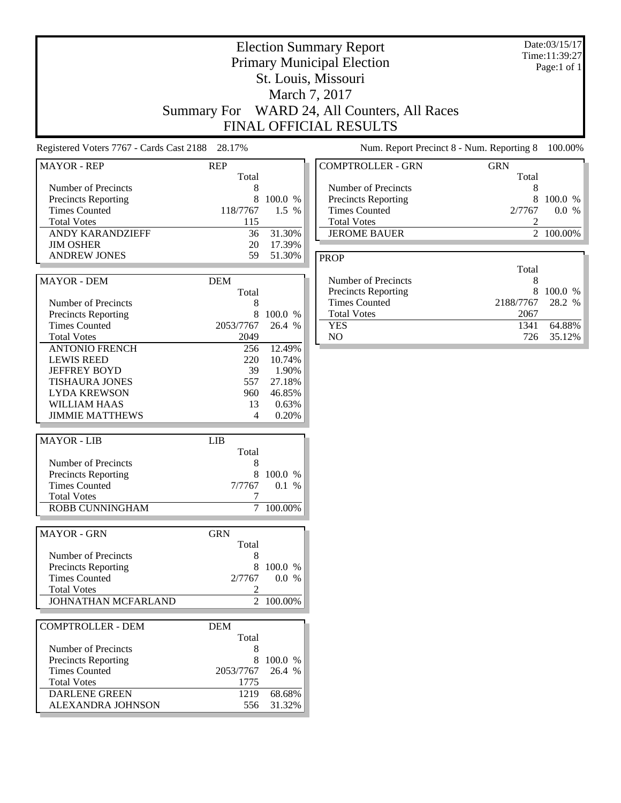|                                                                                                                                       |                                                     |                                                       | <b>Election Summary Report</b><br><b>Primary Municipal Election</b><br>St. Louis, Missouri<br>March 7, 2017<br>Summary For WARD 24, All Counters, All Races<br>FINAL OFFICIAL RESULTS |                                | Date:03/15/17<br>Time:11:39:27<br>Page:1 of 1 |
|---------------------------------------------------------------------------------------------------------------------------------------|-----------------------------------------------------|-------------------------------------------------------|---------------------------------------------------------------------------------------------------------------------------------------------------------------------------------------|--------------------------------|-----------------------------------------------|
| Registered Voters 7767 - Cards Cast 2188 28.17%                                                                                       |                                                     |                                                       | Num. Report Precinct 8 - Num. Reporting 8                                                                                                                                             |                                | 100.00%                                       |
| <b>MAYOR - REP</b>                                                                                                                    | <b>REP</b>                                          |                                                       | <b>COMPTROLLER - GRN</b>                                                                                                                                                              | <b>GRN</b>                     |                                               |
| Number of Precincts<br>Precincts Reporting<br><b>Times Counted</b><br><b>Total Votes</b><br>ANDY KARANDZIEFF<br><b>JIM OSHER</b>      | Total<br>8<br>8<br>118/7767<br>115<br>36<br>20      | 100.0 %<br>1.5 %<br>31.30%<br>17.39%                  | Number of Precincts<br><b>Precincts Reporting</b><br><b>Times Counted</b><br><b>Total Votes</b><br><b>JEROME BAUER</b>                                                                | Total<br>8<br>8<br>2/7767<br>2 | 100.0 %<br>0.0 %<br>2 100.00%                 |
| <b>ANDREW JONES</b>                                                                                                                   | 59                                                  | 51.30%                                                | <b>PROP</b>                                                                                                                                                                           |                                |                                               |
| <b>MAYOR - DEM</b><br>Number of Precincts                                                                                             | <b>DEM</b><br>Total<br>8                            |                                                       | Number of Precincts<br><b>Precincts Reporting</b><br><b>Times Counted</b>                                                                                                             | Total<br>8<br>8<br>2188/7767   | 100.0 %<br>28.2 %                             |
| Precincts Reporting<br><b>Times Counted</b><br><b>Total Votes</b><br><b>ANTONIO FRENCH</b>                                            | 8<br>2053/7767<br>2049<br>256                       | 100.0 %<br>26.4 %<br>12.49%                           | <b>Total Votes</b><br><b>YES</b><br>NO                                                                                                                                                | 2067<br>1341<br>726            | 64.88%<br>35.12%                              |
| <b>LEWIS REED</b><br><b>JEFFREY BOYD</b><br><b>TISHAURA JONES</b><br><b>LYDA KREWSON</b><br>WILLIAM HAAS<br><b>JIMMIE MATTHEWS</b>    | 220<br>39<br>557<br>960<br>13<br>4                  | 10.74%<br>1.90%<br>27.18%<br>46.85%<br>0.63%<br>0.20% |                                                                                                                                                                                       |                                |                                               |
| <b>MAYOR - LIB</b>                                                                                                                    | <b>LIB</b>                                          |                                                       |                                                                                                                                                                                       |                                |                                               |
| Number of Precincts<br><b>Precincts Reporting</b><br><b>Times Counted</b><br><b>Total Votes</b><br>ROBB CUNNINGHAM                    | Total<br>8<br>8<br>7/7767<br>7                      | 100.0 %<br>0.1%<br>7 100.00%                          |                                                                                                                                                                                       |                                |                                               |
| <b>MAYOR - GRN</b>                                                                                                                    | <b>GRN</b>                                          |                                                       |                                                                                                                                                                                       |                                |                                               |
| Number of Precincts<br>Precincts Reporting<br><b>Times Counted</b><br><b>Total Votes</b><br>JOHNATHAN MCFARLAND                       | Total<br>8<br>8<br>2/7767<br>2                      | 100.0 %<br>0.0 %<br>$\overline{2}$ 100.00%            |                                                                                                                                                                                       |                                |                                               |
| <b>COMPTROLLER - DEM</b>                                                                                                              | <b>DEM</b>                                          |                                                       |                                                                                                                                                                                       |                                |                                               |
| Number of Precincts<br>Precincts Reporting<br><b>Times Counted</b><br><b>Total Votes</b><br><b>DARLENE GREEN</b><br>ALEXANDRA JOHNSON | Total<br>8<br>8<br>2053/7767<br>1775<br>1219<br>556 | 100.0 %<br>26.4 %<br>68.68%<br>31.32%                 |                                                                                                                                                                                       |                                |                                               |

J

ŀ.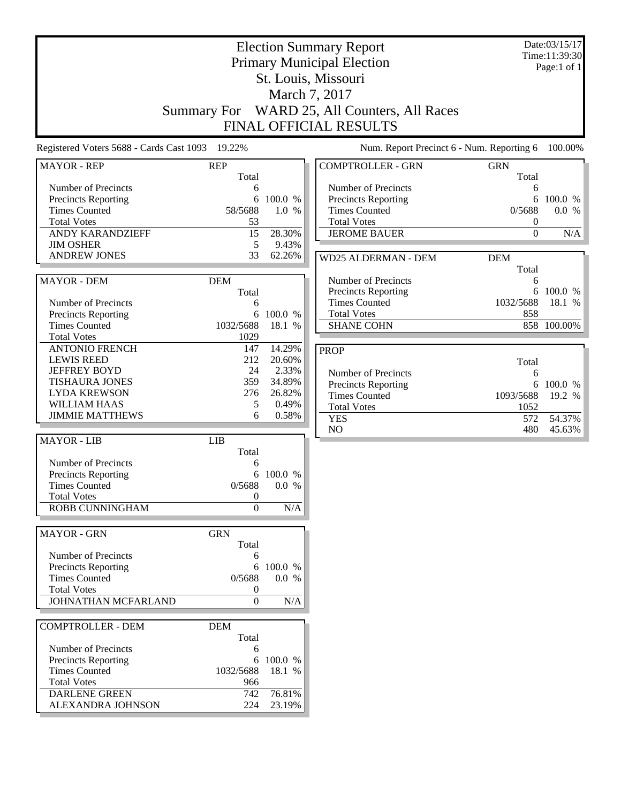|                                            | <b>Election Summary Report</b><br><b>Primary Municipal Election</b><br>St. Louis, Missouri<br>March 7, 2017<br>Summary For WARD 25, All Counters, All Races |                 |                                                   | Date:03/15/17<br>Time:11:39:30<br>Page:1 of 1 |                  |
|--------------------------------------------|-------------------------------------------------------------------------------------------------------------------------------------------------------------|-----------------|---------------------------------------------------|-----------------------------------------------|------------------|
|                                            |                                                                                                                                                             |                 | FINAL OFFICIAL RESULTS                            |                                               |                  |
| Registered Voters 5688 - Cards Cast 1093   | 19.22%                                                                                                                                                      |                 | Num. Report Precinct 6 - Num. Reporting 6         |                                               | 100.00%          |
| <b>MAYOR - REP</b>                         | <b>REP</b>                                                                                                                                                  |                 | <b>COMPTROLLER - GRN</b>                          | <b>GRN</b>                                    |                  |
| Number of Precincts                        | Total<br>6                                                                                                                                                  |                 | Number of Precincts                               | Total<br>6                                    |                  |
| Precincts Reporting                        | 6                                                                                                                                                           | 100.0 %         | <b>Precincts Reporting</b>                        | 6                                             | 100.0 %          |
| <b>Times Counted</b>                       | 58/5688                                                                                                                                                     | 1.0 %           | <b>Times Counted</b>                              | 0/5688                                        | 0.0 %            |
| <b>Total Votes</b>                         | 53                                                                                                                                                          |                 | <b>Total Votes</b>                                | 0                                             |                  |
| <b>ANDY KARANDZIEFF</b>                    | 15                                                                                                                                                          | 28.30%          | <b>JEROME BAUER</b>                               | $\boldsymbol{0}$                              | N/A              |
| <b>JIM OSHER</b>                           | 5                                                                                                                                                           | 9.43%           |                                                   |                                               |                  |
| <b>ANDREW JONES</b>                        | 33                                                                                                                                                          | 62.26%          | <b>WD25 ALDERMAN - DEM</b>                        | <b>DEM</b>                                    |                  |
|                                            |                                                                                                                                                             |                 |                                                   | Total                                         |                  |
| <b>MAYOR - DEM</b>                         | <b>DEM</b><br>Total                                                                                                                                         |                 | Number of Precincts<br><b>Precincts Reporting</b> | 6<br>6                                        | 100.0 %          |
| Number of Precincts                        | 6                                                                                                                                                           |                 | <b>Times Counted</b>                              | 1032/5688                                     | 18.1 %           |
| <b>Precincts Reporting</b>                 |                                                                                                                                                             | 6 100.0 %       | <b>Total Votes</b>                                | 858                                           |                  |
| <b>Times Counted</b>                       | 1032/5688                                                                                                                                                   | 18.1 %          | <b>SHANE COHN</b>                                 |                                               | 858 100.00%      |
| <b>Total Votes</b>                         | 1029                                                                                                                                                        |                 |                                                   |                                               |                  |
| <b>ANTONIO FRENCH</b>                      | 147                                                                                                                                                         | 14.29%          | <b>PROP</b>                                       |                                               |                  |
| <b>LEWIS REED</b>                          | 212                                                                                                                                                         | 20.60%          |                                                   | Total                                         |                  |
| <b>JEFFREY BOYD</b>                        | 24                                                                                                                                                          | 2.33%           | Number of Precincts                               | 6                                             |                  |
| <b>TISHAURA JONES</b>                      | 359                                                                                                                                                         | 34.89%          | <b>Precincts Reporting</b>                        | 6                                             | 100.0 %          |
| <b>LYDA KREWSON</b><br><b>WILLIAM HAAS</b> | 276<br>5                                                                                                                                                    | 26.82%<br>0.49% | <b>Times Counted</b>                              | 1093/5688                                     | 19.2 %           |
| <b>JIMMIE MATTHEWS</b>                     | 6                                                                                                                                                           | 0.58%           | <b>Total Votes</b>                                | 1052                                          |                  |
|                                            |                                                                                                                                                             |                 | <b>YES</b><br>NO                                  | 572<br>480                                    | 54.37%<br>45.63% |
| <b>MAYOR - LIB</b>                         | <b>LIB</b><br>Total                                                                                                                                         |                 |                                                   |                                               |                  |
| Number of Precincts                        | 6                                                                                                                                                           |                 |                                                   |                                               |                  |
| <b>Precincts Reporting</b>                 | 6                                                                                                                                                           | 100.0 %         |                                                   |                                               |                  |
| <b>Times Counted</b>                       | 0/5688                                                                                                                                                      | 0.0 %           |                                                   |                                               |                  |
| <b>Total Votes</b>                         | $\boldsymbol{0}$                                                                                                                                            |                 |                                                   |                                               |                  |
| ROBB CUNNINGHAM                            | $\overline{0}$                                                                                                                                              | N/A             |                                                   |                                               |                  |
|                                            |                                                                                                                                                             |                 |                                                   |                                               |                  |
| <b>MAYOR - GRN</b>                         | <b>GRN</b>                                                                                                                                                  |                 |                                                   |                                               |                  |
| Number of Precincts                        | Total<br>6                                                                                                                                                  |                 |                                                   |                                               |                  |
| <b>Precincts Reporting</b>                 | 6                                                                                                                                                           | 100.0 %         |                                                   |                                               |                  |
| <b>Times Counted</b>                       | 0/5688                                                                                                                                                      | 0.0 %           |                                                   |                                               |                  |
| <b>Total Votes</b>                         | $\boldsymbol{0}$                                                                                                                                            |                 |                                                   |                                               |                  |
| JOHNATHAN MCFARLAND                        | $\boldsymbol{0}$                                                                                                                                            | N/A             |                                                   |                                               |                  |
|                                            |                                                                                                                                                             |                 |                                                   |                                               |                  |
| <b>COMPTROLLER - DEM</b>                   | <b>DEM</b><br>Total                                                                                                                                         |                 |                                                   |                                               |                  |
| Number of Precincts                        | 6                                                                                                                                                           |                 |                                                   |                                               |                  |
| Precincts Reporting                        | 6                                                                                                                                                           | 100.0 %         |                                                   |                                               |                  |
| <b>Times Counted</b>                       | 1032/5688                                                                                                                                                   | 18.1 %          |                                                   |                                               |                  |
| <b>Total Votes</b>                         | 966                                                                                                                                                         |                 |                                                   |                                               |                  |
| <b>DARLENE GREEN</b>                       | 742                                                                                                                                                         | 76.81%          |                                                   |                                               |                  |
| ALEXANDRA JOHNSON                          | 224                                                                                                                                                         | 23.19%          |                                                   |                                               |                  |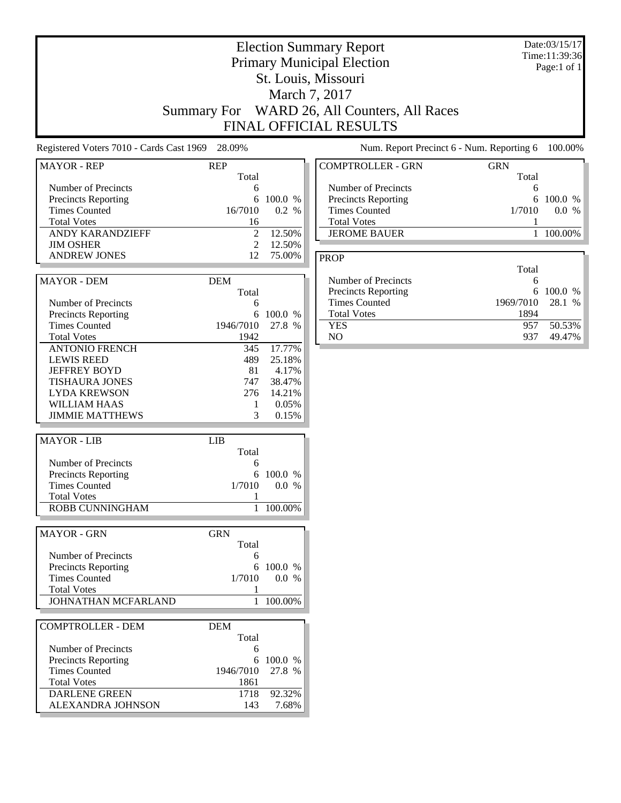|                                                                                                                                              |                                                                      |                                                       | <b>Election Summary Report</b><br><b>Primary Municipal Election</b><br>St. Louis, Missouri<br>March 7, 2017<br>Summary For WARD 26, All Counters, All Races<br><b>FINAL OFFICIAL RESULTS</b> |                             | Date:03/15/17<br>Time:11:39:36<br>Page:1 of 1 |
|----------------------------------------------------------------------------------------------------------------------------------------------|----------------------------------------------------------------------|-------------------------------------------------------|----------------------------------------------------------------------------------------------------------------------------------------------------------------------------------------------|-----------------------------|-----------------------------------------------|
| Registered Voters 7010 - Cards Cast 1969 28.09%                                                                                              |                                                                      |                                                       | Num. Report Precinct 6 - Num. Reporting 6                                                                                                                                                    |                             | 100.00%                                       |
| <b>MAYOR - REP</b>                                                                                                                           | <b>REP</b>                                                           |                                                       | <b>COMPTROLLER - GRN</b>                                                                                                                                                                     | <b>GRN</b>                  |                                               |
| Number of Precincts<br>Precincts Reporting<br><b>Times Counted</b><br><b>Total Votes</b><br><b>ANDY KARANDZIEFF</b><br><b>JIM OSHER</b>      | Total<br>6<br>6<br>16/7010<br>16<br>$\overline{c}$<br>$\mathfrak{2}$ | 100.0 %<br>0.2 %<br>12.50%<br>12.50%                  | Number of Precincts<br>Precincts Reporting<br><b>Times Counted</b><br><b>Total Votes</b><br><b>JEROME BAUER</b>                                                                              | Total<br>6<br>6<br>1/7010   | 100.0 %<br>0.0 %<br>1 100.00%                 |
| <b>ANDREW JONES</b>                                                                                                                          | 12                                                                   | 75.00%                                                | <b>PROP</b>                                                                                                                                                                                  | Total                       |                                               |
| <b>MAYOR - DEM</b><br>Number of Precincts<br><b>Precincts Reporting</b>                                                                      | <b>DEM</b><br>Total<br>6<br>6                                        | 100.0 %                                               | Number of Precincts<br>Precincts Reporting<br><b>Times Counted</b><br><b>Total Votes</b>                                                                                                     | 6<br>6<br>1969/7010<br>1894 | 100.0 %<br>28.1 %                             |
| <b>Times Counted</b><br><b>Total Votes</b><br><b>ANTONIO FRENCH</b>                                                                          | 1946/7010<br>1942<br>345                                             | 27.8 %<br>17.77%                                      | <b>YES</b><br>NO                                                                                                                                                                             | 957<br>937                  | 50.53%<br>49.47%                              |
| <b>LEWIS REED</b><br><b>JEFFREY BOYD</b><br><b>TISHAURA JONES</b><br><b>LYDA KREWSON</b><br><b>WILLIAM HAAS</b><br><b>JIMMIE MATTHEWS</b>    | 489<br>81<br>747<br>276<br>1<br>3                                    | 25.18%<br>4.17%<br>38.47%<br>14.21%<br>0.05%<br>0.15% |                                                                                                                                                                                              |                             |                                               |
| <b>MAYOR - LIB</b>                                                                                                                           | <b>LIB</b>                                                           |                                                       |                                                                                                                                                                                              |                             |                                               |
| Number of Precincts<br><b>Precincts Reporting</b><br><b>Times Counted</b><br><b>Total Votes</b><br>ROBB CUNNINGHAM                           | Total<br>6<br>6<br>1/7010<br>1                                       | 100.0 %<br>0.0 %<br>1 100.00%                         |                                                                                                                                                                                              |                             |                                               |
| <b>MAYOR - GRN</b>                                                                                                                           | <b>GRN</b>                                                           |                                                       |                                                                                                                                                                                              |                             |                                               |
| Number of Precincts<br><b>Precincts Reporting</b><br><b>Times Counted</b><br><b>Total Votes</b><br>JOHNATHAN MCFARLAND                       | Total<br>6<br>6<br>1/7010<br>1<br>1                                  | 100.0 %<br>0.0 %<br>100.00%                           |                                                                                                                                                                                              |                             |                                               |
| <b>COMPTROLLER - DEM</b>                                                                                                                     | <b>DEM</b>                                                           |                                                       |                                                                                                                                                                                              |                             |                                               |
| Number of Precincts<br><b>Precincts Reporting</b><br><b>Times Counted</b><br><b>Total Votes</b><br><b>DARLENE GREEN</b><br>ALEXANDRA JOHNSON | Total<br>6<br>1946/7010<br>1861<br>1718<br>143                       | 6 100.0 %<br>27.8 %<br>92.32%<br>7.68%                |                                                                                                                                                                                              |                             |                                               |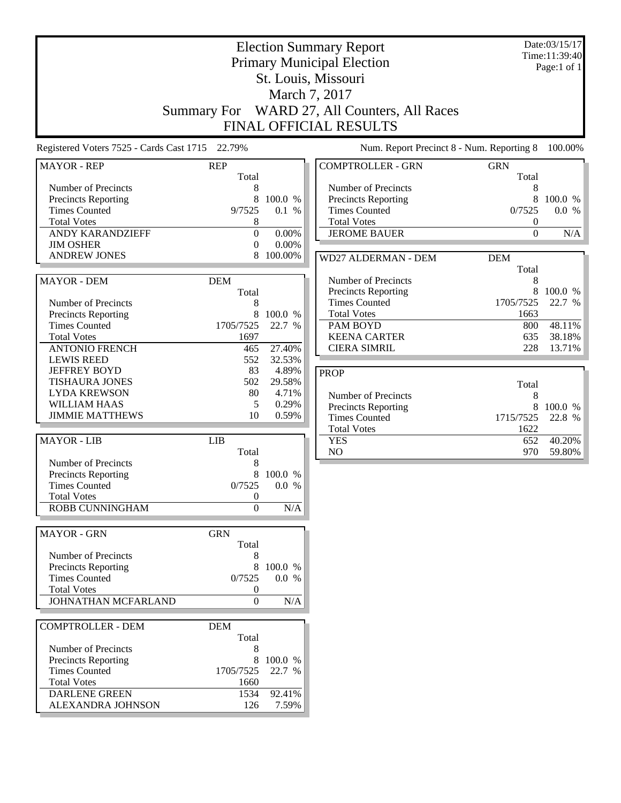|                                                                                                                                                                                            | <b>Election Summary Report</b><br><b>Primary Municipal Election</b><br>St. Louis, Missouri<br>March 7, 2017<br>Summary For WARD 27, All Counters, All Races<br>FINAL OFFICIAL RESULTS |                                                |                                                                                                                                                                          | Date:03/15/17<br>Time:11:39:40<br>Page:1 of 1    |                                                 |
|--------------------------------------------------------------------------------------------------------------------------------------------------------------------------------------------|---------------------------------------------------------------------------------------------------------------------------------------------------------------------------------------|------------------------------------------------|--------------------------------------------------------------------------------------------------------------------------------------------------------------------------|--------------------------------------------------|-------------------------------------------------|
| Registered Voters 7525 - Cards Cast 1715 22.79%                                                                                                                                            |                                                                                                                                                                                       |                                                | Num. Report Precinct 8 - Num. Reporting 8                                                                                                                                |                                                  | 100.00%                                         |
| <b>MAYOR - REP</b>                                                                                                                                                                         | <b>REP</b>                                                                                                                                                                            |                                                | <b>COMPTROLLER - GRN</b>                                                                                                                                                 | <b>GRN</b>                                       |                                                 |
| Number of Precincts<br><b>Precincts Reporting</b><br><b>Times Counted</b><br><b>Total Votes</b><br><b>ANDY KARANDZIEFF</b><br><b>JIM OSHER</b>                                             | Total<br>8<br>8<br>9/7525<br>8<br>$\boldsymbol{0}$<br>$\mathbf{0}$                                                                                                                    | 100.0 %<br>0.1 %<br>0.00%<br>$0.00\%$          | Number of Precincts<br>Precincts Reporting<br><b>Times Counted</b><br><b>Total Votes</b><br><b>JEROME BAUER</b>                                                          | Total<br>8<br>8<br>0/7525<br>0<br>$\mathbf{0}$   | 100.0 %<br>0.0 %<br>N/A                         |
| <b>ANDREW JONES</b>                                                                                                                                                                        |                                                                                                                                                                                       | 100.00%                                        | WD27 ALDERMAN - DEM                                                                                                                                                      | <b>DEM</b><br>Total                              |                                                 |
| <b>MAYOR - DEM</b><br>Number of Precincts<br><b>Precincts Reporting</b><br><b>Times Counted</b><br><b>Total Votes</b><br><b>ANTONIO FRENCH</b><br><b>LEWIS REED</b><br><b>JEFFREY BOYD</b> | <b>DEM</b><br>Total<br>8<br>8<br>1705/7525<br>1697<br>465<br>552<br>83                                                                                                                | 100.0 %<br>22.7 %<br>27.40%<br>32.53%<br>4.89% | Number of Precincts<br><b>Precincts Reporting</b><br><b>Times Counted</b><br><b>Total Votes</b><br>PAM BOYD<br><b>KEENA CARTER</b><br><b>CIERA SIMRIL</b><br><b>PROP</b> | 8<br>8<br>1705/7525<br>1663<br>800<br>635<br>228 | 100.0 %<br>22.7 %<br>48.11%<br>38.18%<br>13.71% |
| <b>TISHAURA JONES</b><br><b>LYDA KREWSON</b><br><b>WILLIAM HAAS</b><br><b>JIMMIE MATTHEWS</b>                                                                                              | 502<br>80<br>5<br>10                                                                                                                                                                  | 29.58%<br>4.71%<br>0.29%<br>0.59%              | Number of Precincts<br>Precincts Reporting<br><b>Times Counted</b><br><b>Total Votes</b>                                                                                 | Total<br>8<br>8<br>1715/7525<br>1622             | 100.0 %<br>22.8 %                               |
| <b>MAYOR - LIB</b><br>Number of Precincts<br><b>Precincts Reporting</b><br><b>Times Counted</b><br><b>Total Votes</b><br><b>ROBB CUNNINGHAM</b>                                            | <b>LIB</b><br>Total<br>8<br>8<br>0/7525<br>$\boldsymbol{0}$<br>$\mathbf{0}$                                                                                                           | 100.0 %<br>0.0 %<br>N/A                        | <b>YES</b><br>NO                                                                                                                                                         | 652<br>970                                       | 40.20%<br>59.80%                                |
| <b>MAYOR - GRN</b><br>Number of Precincts<br><b>Precincts Reporting</b><br><b>Times Counted</b><br><b>Total Votes</b><br>JOHNATHAN MCFARLAND                                               | <b>GRN</b><br>Total<br>8<br>8<br>0/7525<br>$\boldsymbol{0}$<br>$\boldsymbol{0}$                                                                                                       | 100.0 %<br>0.0 %<br>$\rm N/A$                  |                                                                                                                                                                          |                                                  |                                                 |
| <b>COMPTROLLER - DEM</b><br>Number of Precincts<br><b>Precincts Reporting</b><br><b>Times Counted</b><br><b>Total Votes</b><br><b>DARLENE GREEN</b><br>ALEXANDRA JOHNSON                   | <b>DEM</b><br>Total<br>8<br>8<br>1705/7525<br>1660<br>1534<br>126                                                                                                                     | 100.0 %<br>22.7 %<br>92.41%<br>7.59%           |                                                                                                                                                                          |                                                  |                                                 |